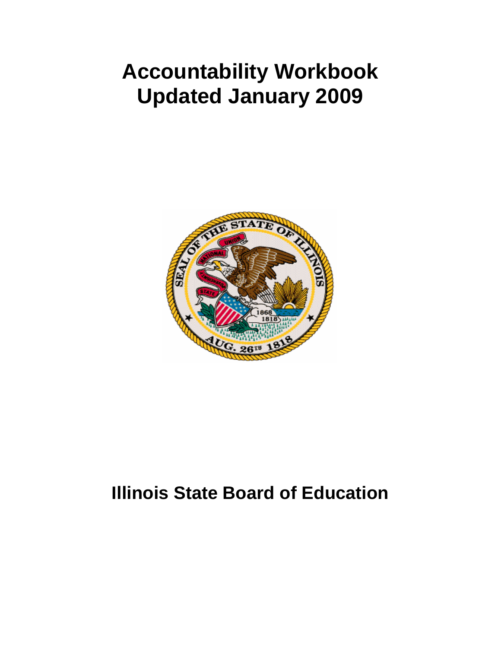# **Accountability Workbook Updated January 2009**



# **Illinois State Board of Education**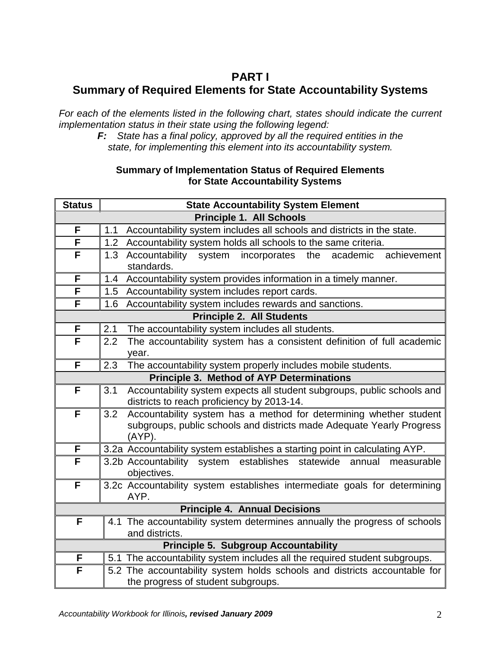# **PART I Summary of Required Elements for State Accountability Systems**

*For each of the elements listed in the following chart, states should indicate the current implementation status in their state using the following legend:*

*F: State has a final policy, approved by all the required entities in the state, for implementing this element into its accountability system.*

#### **Summary of Implementation Status of Required Elements for State Accountability Systems**

| <b>Status</b>                                    | <b>State Accountability System Element</b>                                        |  |  |  |  |  |  |  |  |  |  |  |
|--------------------------------------------------|-----------------------------------------------------------------------------------|--|--|--|--|--|--|--|--|--|--|--|
|                                                  | <b>Principle 1. All Schools</b>                                                   |  |  |  |  |  |  |  |  |  |  |  |
| F                                                | Accountability system includes all schools and districts in the state.<br>1.1     |  |  |  |  |  |  |  |  |  |  |  |
| F                                                | Accountability system holds all schools to the same criteria.<br>1.2              |  |  |  |  |  |  |  |  |  |  |  |
| F                                                | Accountability<br>system<br>incorporates<br>the<br>1.3<br>academic<br>achievement |  |  |  |  |  |  |  |  |  |  |  |
|                                                  | standards.                                                                        |  |  |  |  |  |  |  |  |  |  |  |
| F                                                | Accountability system provides information in a timely manner.<br>1.4             |  |  |  |  |  |  |  |  |  |  |  |
| F                                                | Accountability system includes report cards.<br>1.5                               |  |  |  |  |  |  |  |  |  |  |  |
| F                                                | Accountability system includes rewards and sanctions.<br>1.6                      |  |  |  |  |  |  |  |  |  |  |  |
|                                                  | <b>Principle 2. All Students</b>                                                  |  |  |  |  |  |  |  |  |  |  |  |
| F                                                | 2.1<br>The accountability system includes all students.                           |  |  |  |  |  |  |  |  |  |  |  |
| F                                                | The accountability system has a consistent definition of full academic<br>2.2     |  |  |  |  |  |  |  |  |  |  |  |
|                                                  | year.                                                                             |  |  |  |  |  |  |  |  |  |  |  |
| F                                                | The accountability system properly includes mobile students.<br>2.3               |  |  |  |  |  |  |  |  |  |  |  |
| <b>Principle 3. Method of AYP Determinations</b> |                                                                                   |  |  |  |  |  |  |  |  |  |  |  |
| F                                                | Accountability system expects all student subgroups, public schools and<br>3.1    |  |  |  |  |  |  |  |  |  |  |  |
|                                                  | districts to reach proficiency by 2013-14.                                        |  |  |  |  |  |  |  |  |  |  |  |
| F                                                | Accountability system has a method for determining whether student<br>3.2         |  |  |  |  |  |  |  |  |  |  |  |
|                                                  | subgroups, public schools and districts made Adequate Yearly Progress             |  |  |  |  |  |  |  |  |  |  |  |
| F                                                | (AYP).                                                                            |  |  |  |  |  |  |  |  |  |  |  |
|                                                  | 3.2a Accountability system establishes a starting point in calculating AYP.       |  |  |  |  |  |  |  |  |  |  |  |
| F                                                | 3.2b Accountability system establishes<br>statewide<br>annual<br>measurable       |  |  |  |  |  |  |  |  |  |  |  |
| F                                                | objectives.                                                                       |  |  |  |  |  |  |  |  |  |  |  |
|                                                  | 3.2c Accountability system establishes intermediate goals for determining<br>AYP. |  |  |  |  |  |  |  |  |  |  |  |
|                                                  | <b>Principle 4. Annual Decisions</b>                                              |  |  |  |  |  |  |  |  |  |  |  |
| F                                                | 4.1 The accountability system determines annually the progress of schools         |  |  |  |  |  |  |  |  |  |  |  |
|                                                  | and districts.                                                                    |  |  |  |  |  |  |  |  |  |  |  |
|                                                  | <b>Principle 5. Subgroup Accountability</b>                                       |  |  |  |  |  |  |  |  |  |  |  |
| F                                                | 5.1 The accountability system includes all the required student subgroups.        |  |  |  |  |  |  |  |  |  |  |  |
| F                                                | 5.2 The accountability system holds schools and districts accountable for         |  |  |  |  |  |  |  |  |  |  |  |
|                                                  | the progress of student subgroups.                                                |  |  |  |  |  |  |  |  |  |  |  |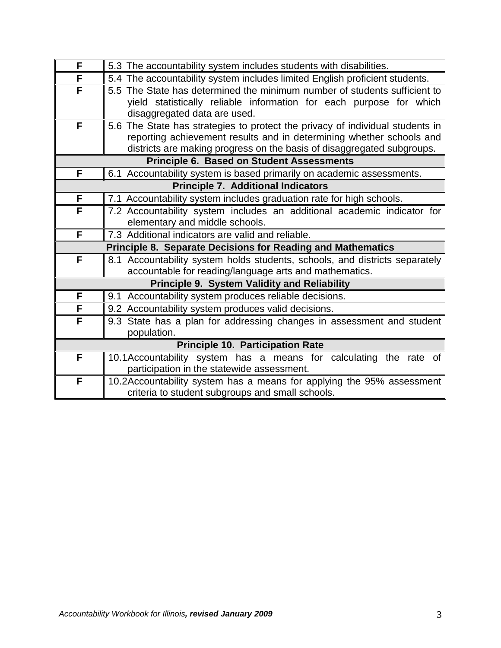| F | 5.3 The accountability system includes students with disabilities.            |
|---|-------------------------------------------------------------------------------|
| F | 5.4 The accountability system includes limited English proficient students.   |
| F | 5.5 The State has determined the minimum number of students sufficient to     |
|   | yield statistically reliable information for each purpose for which           |
|   | disaggregated data are used.                                                  |
| F | 5.6 The State has strategies to protect the privacy of individual students in |
|   | reporting achievement results and in determining whether schools and          |
|   | districts are making progress on the basis of disaggregated subgroups.        |
|   | <b>Principle 6. Based on Student Assessments</b>                              |
| F | 6.1 Accountability system is based primarily on academic assessments.         |
|   | <b>Principle 7. Additional Indicators</b>                                     |
| F | 7.1 Accountability system includes graduation rate for high schools.          |
| F | 7.2 Accountability system includes an additional academic indicator for       |
|   | elementary and middle schools.                                                |
| F | 7.3 Additional indicators are valid and reliable.                             |
|   | <b>Principle 8. Separate Decisions for Reading and Mathematics</b>            |
| F | 8.1 Accountability system holds students, schools, and districts separately   |
|   | accountable for reading/language arts and mathematics.                        |
|   | <b>Principle 9. System Validity and Reliability</b>                           |
| F | 9.1 Accountability system produces reliable decisions.                        |
| F | 9.2 Accountability system produces valid decisions.                           |
| F | 9.3 State has a plan for addressing changes in assessment and student         |
|   | population.                                                                   |
|   | <b>Principle 10. Participation Rate</b>                                       |
| F | 10.1Accountability system has a means for calculating the rate of             |
|   | participation in the statewide assessment.                                    |
| F | 10.2Accountability system has a means for applying the 95% assessment         |
|   | criteria to student subgroups and small schools.                              |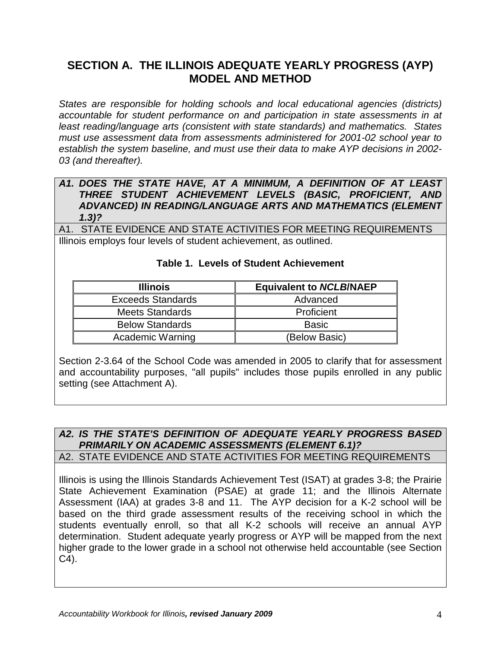# **SECTION A. THE ILLINOIS ADEQUATE YEARLY PROGRESS (AYP) MODEL AND METHOD**

*States are responsible for holding schools and local educational agencies (districts) accountable for student performance on and participation in state assessments in at least reading/language arts (consistent with state standards) and mathematics. States must use assessment data from assessments administered for 2001-02 school year to establish the system baseline, and must use their data to make AYP decisions in 2002- 03 (and thereafter).*

#### *A1. DOES THE STATE HAVE, AT A MINIMUM, A DEFINITION OF AT LEAST THREE STUDENT ACHIEVEMENT LEVELS (BASIC, PROFICIENT, AND ADVANCED) IN READING/LANGUAGE ARTS AND MATHEMATICS (ELEMENT 1.3)?*

A1. STATE EVIDENCE AND STATE ACTIVITIES FOR MEETING REQUIREMENTS Illinois employs four levels of student achievement, as outlined.

| <b>Illinois</b>          | <b>Equivalent to NCLB/NAEP</b> |
|--------------------------|--------------------------------|
| <b>Exceeds Standards</b> | Advanced                       |
| <b>Meets Standards</b>   | Proficient                     |
| <b>Below Standards</b>   | <b>Basic</b>                   |
| <b>Academic Warning</b>  | (Below Basic)                  |

#### **Table 1. Levels of Student Achievement**

Section 2-3.64 of the School Code was amended in 2005 to clarify that for assessment and accountability purposes, "all pupils" includes those pupils enrolled in any public setting (see Attachment A).

#### *A2. IS THE STATE'S DEFINITION OF ADEQUATE YEARLY PROGRESS BASED PRIMARILY ON ACADEMIC ASSESSMENTS (ELEMENT 6.1)?* A2. STATE EVIDENCE AND STATE ACTIVITIES FOR MEETING REQUIREMENTS

Illinois is using the Illinois Standards Achievement Test (ISAT) at grades 3-8; the Prairie State Achievement Examination (PSAE) at grade 11; and the Illinois Alternate Assessment (IAA) at grades 3-8 and 11. The AYP decision for a K-2 school will be based on the third grade assessment results of the receiving school in which the students eventually enroll, so that all K-2 schools will receive an annual AYP determination. Student adequate yearly progress or AYP will be mapped from the next higher grade to the lower grade in a school not otherwise held accountable (see Section C4).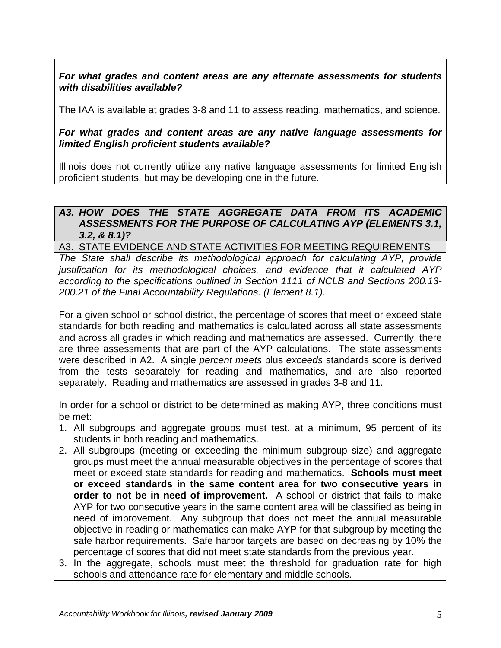*For what grades and content areas are any alternate assessments for students with disabilities available?*

The IAA is available at grades 3-8 and 11 to assess reading, mathematics, and science.

#### *For what grades and content areas are any native language assessments for limited English proficient students available?*

Illinois does not currently utilize any native language assessments for limited English proficient students, but may be developing one in the future.

### *A3. HOW DOES THE STATE AGGREGATE DATA FROM ITS ACADEMIC ASSESSMENTS FOR THE PURPOSE OF CALCULATING AYP (ELEMENTS 3.1, 3.2, & 8.1)?*

#### A3. STATE EVIDENCE AND STATE ACTIVITIES FOR MEETING REQUIREMENTS

*The State shall describe its methodological approach for calculating AYP, provide justification for its methodological choices, and evidence that it calculated AYP according to the specifications outlined in Section 1111 of NCLB and Sections 200.13- 200.21 of the Final Accountability Regulations. (Element 8.1).*

For a given school or school district, the percentage of scores that meet or exceed state standards for both reading and mathematics is calculated across all state assessments and across all grades in which reading and mathematics are assessed. Currently, there are three assessments that are part of the AYP calculations. The state assessments were described in A2. A single *percent meets* plus *exceeds* standards score is derived from the tests separately for reading and mathematics, and are also reported separately. Reading and mathematics are assessed in grades 3-8 and 11.

In order for a school or district to be determined as making AYP, three conditions must be met:

- 1. All subgroups and aggregate groups must test, at a minimum, 95 percent of its students in both reading and mathematics.
- 2. All subgroups (meeting or exceeding the minimum subgroup size) and aggregate groups must meet the annual measurable objectives in the percentage of scores that meet or exceed state standards for reading and mathematics. **Schools must meet or exceed standards in the same content area for two consecutive years in order to not be in need of improvement.** A school or district that fails to make AYP for two consecutive years in the same content area will be classified as being in need of improvement. Any subgroup that does not meet the annual measurable objective in reading or mathematics can make AYP for that subgroup by meeting the safe harbor requirements. Safe harbor targets are based on decreasing by 10% the percentage of scores that did not meet state standards from the previous year.
- 3. In the aggregate, schools must meet the threshold for graduation rate for high schools and attendance rate for elementary and middle schools.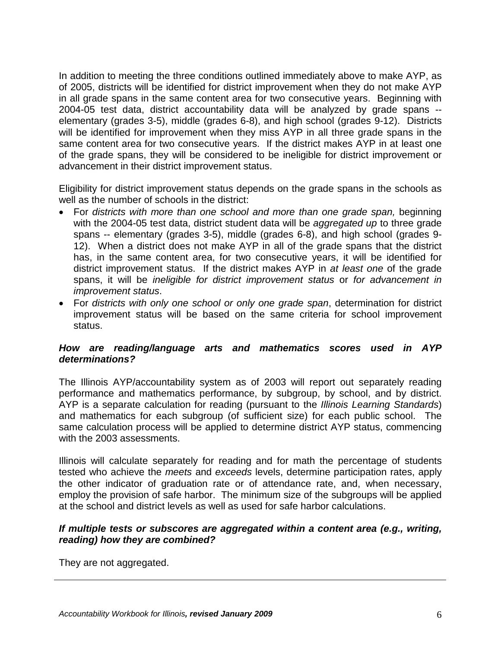In addition to meeting the three conditions outlined immediately above to make AYP, as of 2005, districts will be identified for district improvement when they do not make AYP in all grade spans in the same content area for two consecutive years. Beginning with 2004-05 test data, district accountability data will be analyzed by grade spans - elementary (grades 3-5), middle (grades 6-8), and high school (grades 9-12). Districts will be identified for improvement when they miss AYP in all three grade spans in the same content area for two consecutive years. If the district makes AYP in at least one of the grade spans, they will be considered to be ineligible for district improvement or advancement in their district improvement status.

Eligibility for district improvement status depends on the grade spans in the schools as well as the number of schools in the district:

- For *districts with more than one school and more than one grade span,* beginning with the 2004-05 test data, district student data will be *aggregated up* to three grade spans -- elementary (grades 3-5), middle (grades 6-8), and high school (grades 9- 12). When a district does not make AYP in all of the grade spans that the district has, in the same content area, for two consecutive years, it will be identified for district improvement status. If the district makes AYP in *at least one* of the grade spans, it will be *ineligible for district improvement status* or *for advancement in improvement status*.
- For *districts with only one school or only one grade span*, determination for district improvement status will be based on the same criteria for school improvement status.

### *How are reading/language arts and mathematics scores used in AYP determinations?*

The Illinois AYP/accountability system as of 2003 will report out separately reading performance and mathematics performance, by subgroup, by school, and by district. AYP is a separate calculation for reading (pursuant to the *Illinois Learning Standards*) and mathematics for each subgroup (of sufficient size) for each public school. The same calculation process will be applied to determine district AYP status, commencing with the 2003 assessments.

Illinois will calculate separately for reading and for math the percentage of students tested who achieve the *meets* and *exceeds* levels, determine participation rates, apply the other indicator of graduation rate or of attendance rate, and, when necessary, employ the provision of safe harbor. The minimum size of the subgroups will be applied at the school and district levels as well as used for safe harbor calculations.

### *If multiple tests or subscores are aggregated within a content area (e.g., writing, reading) how they are combined?*

They are not aggregated.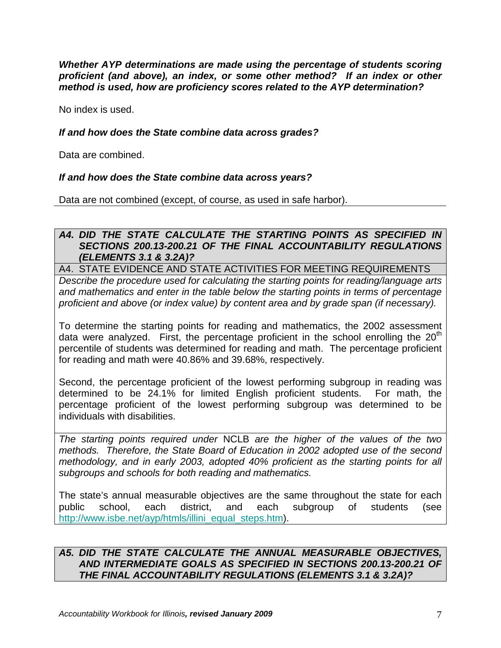*Whether AYP determinations are made using the percentage of students scoring proficient (and above), an index, or some other method? If an index or other method is used, how are proficiency scores related to the AYP determination?*

No index is used.

#### *If and how does the State combine data across grades?*

Data are combined.

#### *If and how does the State combine data across years?*

Data are not combined (except, of course, as used in safe harbor).

#### *A4. DID THE STATE CALCULATE THE STARTING POINTS AS SPECIFIED IN SECTIONS 200.13-200.21 OF THE FINAL ACCOUNTABILITY REGULATIONS (ELEMENTS 3.1 & 3.2A)?*

A4. STATE EVIDENCE AND STATE ACTIVITIES FOR MEETING REQUIREMENTS

*Describe the procedure used for calculating the starting points for reading/language arts and mathematics and enter in the table below the starting points in terms of percentage proficient and above (or index value) by content area and by grade span (if necessary).*

To determine the starting points for reading and mathematics, the 2002 assessment data were analyzed. First, the percentage proficient in the school enrolling the  $20<sup>th</sup>$ percentile of students was determined for reading and math. The percentage proficient for reading and math were 40.86% and 39.68%, respectively.

Second, the percentage proficient of the lowest performing subgroup in reading was determined to be 24.1% for limited English proficient students. For math, the percentage proficient of the lowest performing subgroup was determined to be individuals with disabilities.

*The starting points required under* NCLB *are the higher of the values of the two methods. Therefore, the State Board of Education in 2002 adopted use of the second methodology, and in early 2003, adopted 40% proficient as the starting points for all subgroups and schools for both reading and mathematics.*

The state's annual measurable objectives are the same throughout the state for each public school, each district, and each subgroup of students (see [http://www.isbe.net/ayp/htmls/illini\\_equal\\_steps.htm\)](http://www.isbe.net/ayp/htmls/illini_equal_steps.htm).

#### *A5. DID THE STATE CALCULATE THE ANNUAL MEASURABLE OBJECTIVES, AND INTERMEDIATE GOALS AS SPECIFIED IN SECTIONS 200.13-200.21 OF THE FINAL ACCOUNTABILITY REGULATIONS (ELEMENTS 3.1 & 3.2A)?*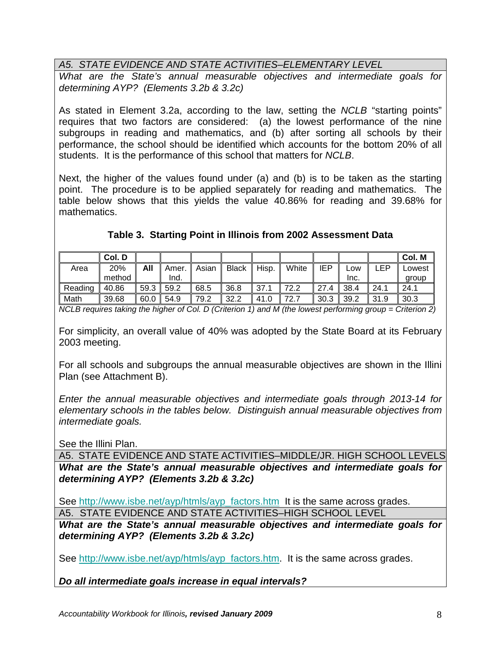# *A5. STATE EVIDENCE AND STATE ACTIVITIES–ELEMENTARY LEVEL*

*What are the State's annual measurable objectives and intermediate goals for determining AYP? (Elements 3.2b & 3.2c)*

As stated in Element 3.2a, according to the law, setting the *NCLB* "starting points" requires that two factors are considered: (a) the lowest performance of the nine subgroups in reading and mathematics, and (b) after sorting all schools by their performance, the school should be identified which accounts for the bottom 20% of all students. It is the performance of this school that matters for *NCLB*.

Next, the higher of the values found under (a) and (b) is to be taken as the starting point. The procedure is to be applied separately for reading and mathematics. The table below shows that this yields the value 40.86% for reading and 39.68% for mathematics.

|         | Col. D |      |       |       |              |       |       |      |      |      | Col. M |
|---------|--------|------|-------|-------|--------------|-------|-------|------|------|------|--------|
| Area    | 20%    | All  | Amer. | Asian | <b>Black</b> | Hisp. | White | IEP  | LOW  | ∟EP  | Lowest |
|         | method |      | Ind.  |       |              |       |       |      | Inc. |      | group  |
| Reading | 40.86  | 59.3 | 59.2  | 68.5  | 36.8         | 37.1  | 72.2  | 27.4 | 38.4 | 24.1 | 24.1   |
| Math    | 39.68  | 60.0 | 54.9  | 79.2  | 32.2         | 41.0  | 72.7  | 30.3 | 39.2 | 31.9 | 30.3   |

# **Table 3. Starting Point in Illinois from 2002 Assessment Data**

*NCLB requires taking the higher of Col. D (Criterion 1) and M (the lowest performing group = Criterion 2)* 

For simplicity, an overall value of 40% was adopted by the State Board at its February 2003 meeting.

For all schools and subgroups the annual measurable objectives are shown in the Illini Plan (see Attachment B).

*Enter the annual measurable objectives and intermediate goals through 2013-14 for elementary schools in the tables below. Distinguish annual measurable objectives from intermediate goals.*

See the Illini Plan.

A5. STATE EVIDENCE AND STATE ACTIVITIES–MIDDLE/JR. HIGH SCHOOL LEVELS *What are the State's annual measurable objectives and intermediate goals for determining AYP? (Elements 3.2b & 3.2c)*

See [http://www.isbe.net/ayp/htmls/ayp\\_factors.htm](http://www.isbe.net/ayp/htmls/ayp_factors.htm) It is the same across grades.

A5. STATE EVIDENCE AND STATE ACTIVITIES–HIGH SCHOOL LEVEL

*What are the State's annual measurable objectives and intermediate goals for determining AYP? (Elements 3.2b & 3.2c)*

See [http://www.isbe.net/ayp/htmls/ayp\\_factors.htm.](http://www.isbe.net/ayp/htmls/ayp_factors.htm) It is the same across grades.

*Do all intermediate goals increase in equal intervals?*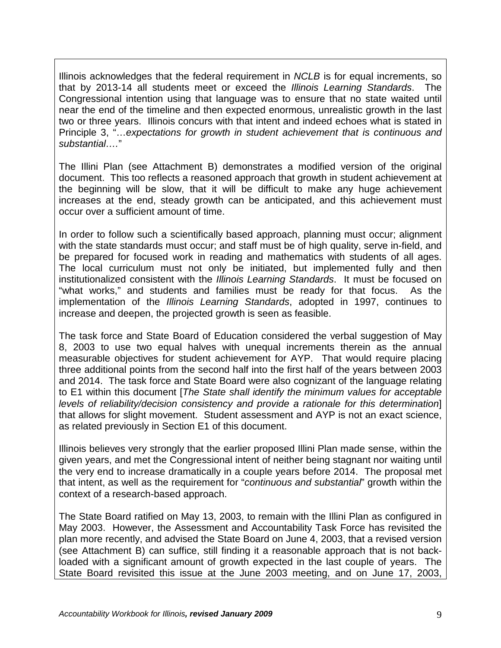Illinois acknowledges that the federal requirement in *NCLB* is for equal increments, so that by 2013-14 all students meet or exceed the *Illinois Learning Standards*. The Congressional intention using that language was to ensure that no state waited until near the end of the timeline and then expected enormous, unrealistic growth in the last two or three years. Illinois concurs with that intent and indeed echoes what is stated in Principle 3, "…*expectations for growth in student achievement that is continuous and substantial….*"

The Illini Plan (see Attachment B) demonstrates a modified version of the original document. This too reflects a reasoned approach that growth in student achievement at the beginning will be slow, that it will be difficult to make any huge achievement increases at the end, steady growth can be anticipated, and this achievement must occur over a sufficient amount of time.

In order to follow such a scientifically based approach, planning must occur; alignment with the state standards must occur; and staff must be of high quality, serve in-field, and be prepared for focused work in reading and mathematics with students of all ages. The local curriculum must not only be initiated, but implemented fully and then institutionalized consistent with the *Illinois Learning Standards*. It must be focused on "what works," and students and families must be ready for that focus. As the implementation of the *Illinois Learning Standards*, adopted in 1997, continues to increase and deepen, the projected growth is seen as feasible.

The task force and State Board of Education considered the verbal suggestion of May 8, 2003 to use two equal halves with unequal increments therein as the annual measurable objectives for student achievement for AYP. That would require placing three additional points from the second half into the first half of the years between 2003 and 2014. The task force and State Board were also cognizant of the language relating to E1 within this document [*The State shall identify the minimum values for acceptable levels of reliability/decision consistency and provide a rationale for this determination*] that allows for slight movement. Student assessment and AYP is not an exact science, as related previously in Section E1 of this document.

Illinois believes very strongly that the earlier proposed Illini Plan made sense, within the given years, and met the Congressional intent of neither being stagnant nor waiting until the very end to increase dramatically in a couple years before 2014. The proposal met that intent, as well as the requirement for "*continuous and substantial*" growth within the context of a research-based approach.

The State Board ratified on May 13, 2003, to remain with the Illini Plan as configured in May 2003. However, the Assessment and Accountability Task Force has revisited the plan more recently, and advised the State Board on June 4, 2003, that a revised version (see Attachment B) can suffice, still finding it a reasonable approach that is not backloaded with a significant amount of growth expected in the last couple of years. The State Board revisited this issue at the June 2003 meeting, and on June 17, 2003,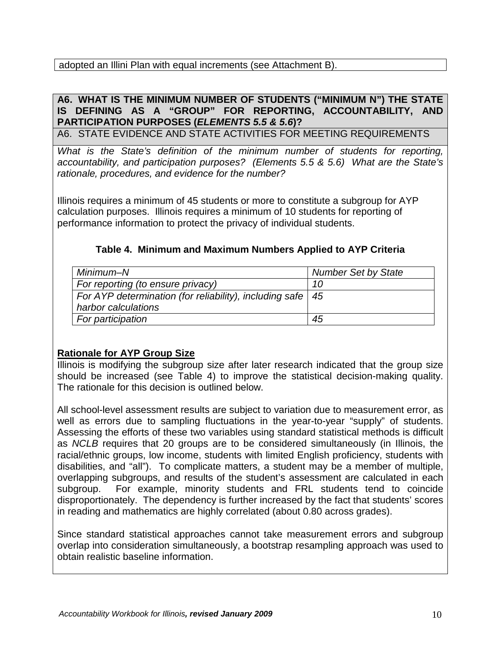## adopted an Illini Plan with equal increments (see Attachment B).

## **A6. WHAT IS THE MINIMUM NUMBER OF STUDENTS ("MINIMUM N") THE STATE IS DEFINING AS A "GROUP" FOR REPORTING, ACCOUNTABILITY, AND PARTICIPATION PURPOSES (***ELEMENTS 5.5 & 5.6***)?**

A6. STATE EVIDENCE AND STATE ACTIVITIES FOR MEETING REQUIREMENTS

*What is the State's definition of the minimum number of students for reporting, accountability, and participation purposes? (Elements 5.5 & 5.6) What are the State's rationale, procedures, and evidence for the number?*

Illinois requires a minimum of 45 students or more to constitute a subgroup for AYP calculation purposes. Illinois requires a minimum of 10 students for reporting of performance information to protect the privacy of individual students.

## **Table 4. Minimum and Maximum Numbers Applied to AYP Criteria**

| Minimum–N                                                      | <b>Number Set by State</b> |
|----------------------------------------------------------------|----------------------------|
| For reporting (to ensure privacy)                              | 10                         |
| For AYP determination (for reliability), including safe $ 45 $ |                            |
| harbor calculations                                            |                            |
| For participation                                              | 45                         |

# **Rationale for AYP Group Size**

Illinois is modifying the subgroup size after later research indicated that the group size should be increased (see Table 4) to improve the statistical decision-making quality. The rationale for this decision is outlined below.

All school-level assessment results are subject to variation due to measurement error, as well as errors due to sampling fluctuations in the year-to-year "supply" of students. Assessing the efforts of these two variables using standard statistical methods is difficult as *NCLB* requires that 20 groups are to be considered simultaneously (in Illinois, the racial/ethnic groups, low income, students with limited English proficiency, students with disabilities, and "all"). To complicate matters, a student may be a member of multiple, overlapping subgroups, and results of the student's assessment are calculated in each subgroup. For example, minority students and FRL students tend to coincide disproportionately. The dependency is further increased by the fact that students' scores in reading and mathematics are highly correlated (about 0.80 across grades).

Since standard statistical approaches cannot take measurement errors and subgroup overlap into consideration simultaneously, a bootstrap resampling approach was used to obtain realistic baseline information.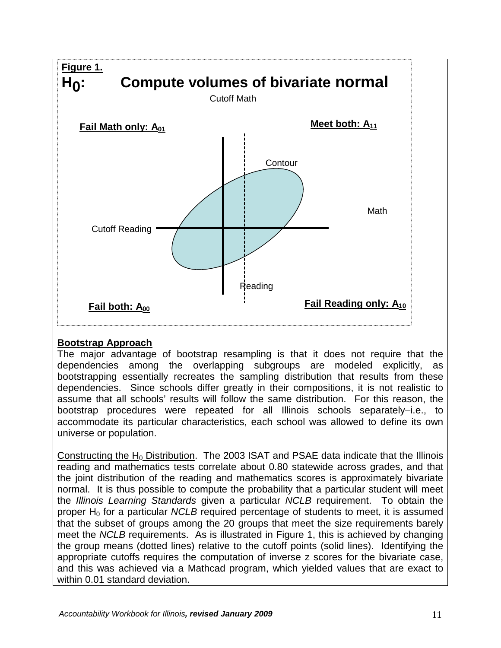

## **Bootstrap Approach**

The major advantage of bootstrap resampling is that it does not require that the dependencies among the overlapping subgroups are modeled explicitly, as bootstrapping essentially recreates the sampling distribution that results from these dependencies. Since schools differ greatly in their compositions, it is not realistic to assume that all schools' results will follow the same distribution. For this reason, the bootstrap procedures were repeated for all Illinois schools separately–i.e., to accommodate its particular characteristics, each school was allowed to define its own universe or population.

Constructing the H<sub>0</sub> Distribution. The 2003 ISAT and PSAE data indicate that the Illinois reading and mathematics tests correlate about 0.80 statewide across grades, and that the joint distribution of the reading and mathematics scores is approximately bivariate normal. It is thus possible to compute the probability that a particular student will meet the *Illinois Learning Standards* given a particular *NCLB* requirement. To obtain the proper H<sub>0</sub> for a particular *NCLB* required percentage of students to meet, it is assumed that the subset of groups among the 20 groups that meet the size requirements barely meet the *NCLB* requirements. As is illustrated in Figure 1, this is achieved by changing the group means (dotted lines) relative to the cutoff points (solid lines). Identifying the appropriate cutoffs requires the computation of inverse z scores for the bivariate case, and this was achieved via a Mathcad program, which yielded values that are exact to within 0.01 standard deviation.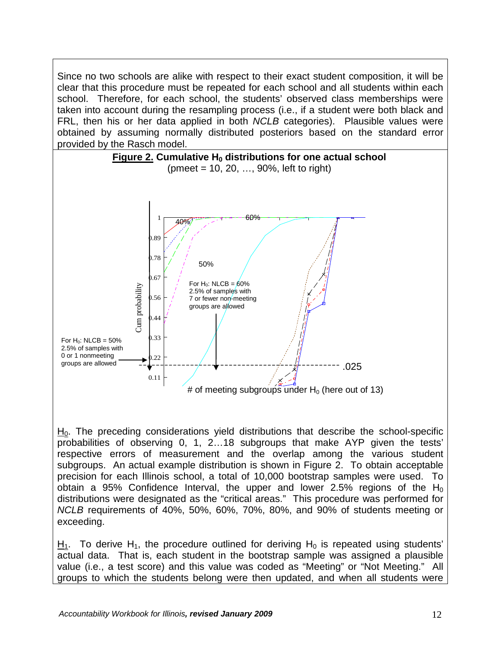Since no two schools are alike with respect to their exact student composition, it will be clear that this procedure must be repeated for each school and all students within each school. Therefore, for each school, the students' observed class memberships were taken into account during the resampling process (i.e., if a student were both black and FRL, then his or her data applied in both *NCLB* categories). Plausible values were obtained by assuming normally distributed posteriors based on the standard error provided by the Rasch model.



 $H<sub>0</sub>$ . The preceding considerations yield distributions that describe the school-specific probabilities of observing 0, 1, 2…18 subgroups that make AYP given the tests' respective errors of measurement and the overlap among the various student subgroups. An actual example distribution is shown in Figure 2. To obtain acceptable precision for each Illinois school, a total of 10,000 bootstrap samples were used. To obtain a 95% Confidence Interval, the upper and lower 2.5% regions of the  $H_0$ distributions were designated as the "critical areas." This procedure was performed for *NCLB* requirements of 40%, 50%, 60%, 70%, 80%, and 90% of students meeting or exceeding.

 $H_1$ . To derive H<sub>1</sub>, the procedure outlined for deriving H<sub>0</sub> is repeated using students' actual data. That is, each student in the bootstrap sample was assigned a plausible value (i.e., a test score) and this value was coded as "Meeting" or "Not Meeting." All groups to which the students belong were then updated, and when all students were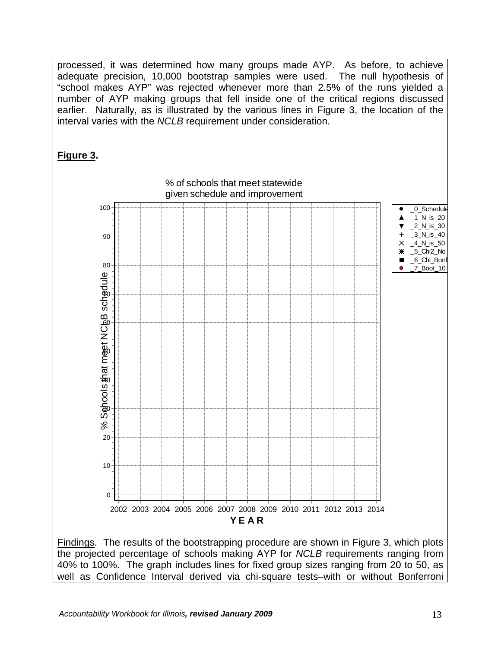processed, it was determined how many groups made AYP. As before, to achieve adequate precision, 10,000 bootstrap samples were used. The null hypothesis of "school makes AYP" was rejected whenever more than 2.5% of the runs yielded a number of AYP making groups that fell inside one of the critical regions discussed earlier. Naturally, as is illustrated by the various lines in Figure 3, the location of the interval varies with the *NCLB* requirement under consideration.

# **Figure 3.**

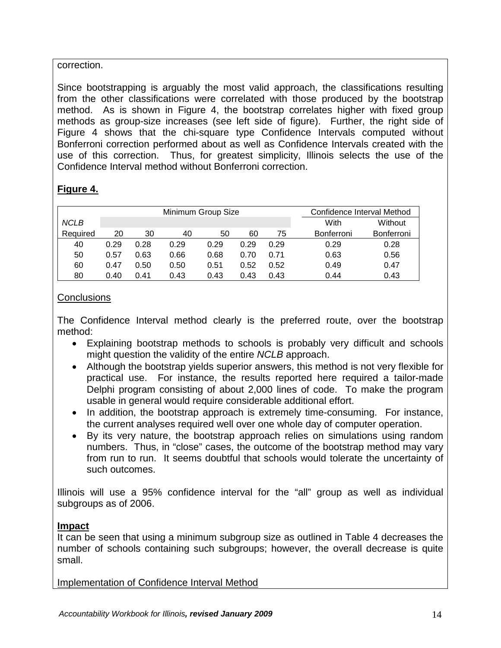## correction.

Since bootstrapping is arguably the most valid approach, the classifications resulting from the other classifications were correlated with those produced by the bootstrap method. As is shown in Figure 4, the bootstrap correlates higher with fixed group methods as group-size increases (see left side of figure). Further, the right side of Figure 4 shows that the chi-square type Confidence Intervals computed without Bonferroni correction performed about as well as Confidence Intervals created with the use of this correction. Thus, for greatest simplicity, Illinois selects the use of the Confidence Interval method without Bonferroni correction.

# **Figure 4.**

|             |      |      | Confidence Interval Method |      |         |      |                   |            |
|-------------|------|------|----------------------------|------|---------|------|-------------------|------------|
| <b>NCLB</b> |      |      |                            | With | Without |      |                   |            |
| Required    | 20   | 30   | 40                         | 50   | 60      | 75   | <b>Bonferroni</b> | Bonferroni |
| 40          | 0.29 | 0.28 | 0.29                       | 0.29 | 0.29    | 0.29 | 0.29              | 0.28       |
| 50          | 0.57 | 0.63 | 0.66                       | 0.68 | 0.70    | 0.71 | 0.63              | 0.56       |
| 60          | 0.47 | 0.50 | 0.50                       | 0.51 | 0.52    | 0.52 | 0.49              | 0.47       |
| 80          | 0.40 | 0.41 | 0.43                       | 0.43 | 0.43    | 0.43 | 0.44              | 0.43       |

## **Conclusions**

The Confidence Interval method clearly is the preferred route, over the bootstrap method:

- Explaining bootstrap methods to schools is probably very difficult and schools might question the validity of the entire *NCLB* approach.
- Although the bootstrap yields superior answers, this method is not very flexible for practical use. For instance, the results reported here required a tailor-made Delphi program consisting of about 2,000 lines of code. To make the program usable in general would require considerable additional effort.
- In addition, the bootstrap approach is extremely time-consuming. For instance, the current analyses required well over one whole day of computer operation.
- By its very nature, the bootstrap approach relies on simulations using random numbers. Thus, in "close" cases, the outcome of the bootstrap method may vary from run to run. It seems doubtful that schools would tolerate the uncertainty of such outcomes.

Illinois will use a 95% confidence interval for the "all" group as well as individual subgroups as of 2006.

## **Impact**

It can be seen that using a minimum subgroup size as outlined in Table 4 decreases the number of schools containing such subgroups; however, the overall decrease is quite small.

Implementation of Confidence Interval Method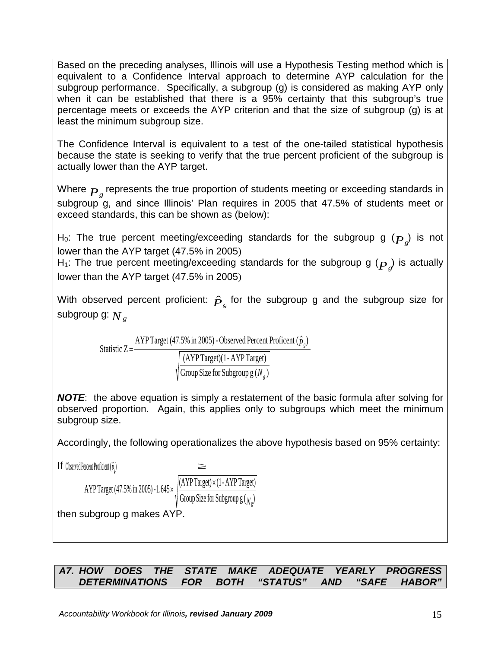Based on the preceding analyses, Illinois will use a Hypothesis Testing method which is equivalent to a Confidence Interval approach to determine AYP calculation for the subgroup performance. Specifically, a subgroup (g) is considered as making AYP only when it can be established that there is a 95% certainty that this subgroup's true percentage meets or exceeds the AYP criterion and that the size of subgroup (g) is at least the minimum subgroup size.

The Confidence Interval is equivalent to a test of the one-tailed statistical hypothesis because the state is seeking to verify that the true percent proficient of the subgroup is actually lower than the AYP target.

Where  $\overline{P}_g$  represents the true proportion of students meeting or exceeding standards in subgroup g, and since Illinois' Plan requires in 2005 that 47.5% of students meet or exceed standards, this can be shown as (below):

H<sub>0</sub>: The true percent meeting/exceeding standards for the subgroup g  $({\boldsymbol{P}}_g)$  is not lower than the AYP target (47.5% in 2005)

H<sub>1</sub>: The true percent meeting/exceeding standards for the subgroup g  $(\boldsymbol{P}_g)$  is actually lower than the AYP target (47.5% in 2005)

With observed percent proficient:  $\hat{P}_{g}$  for the subgroup g and the subgroup size for subgroup g:  $N<sub>g</sub>$ 

Statistic 
$$
Z = \frac{APPTarget (47.5\% in 2005) - Observed Percent Profit ( \hat{P}_g) }{\sqrt{\frac{(AVPTarget)(1 - AYPTarget)}{Group Size for Subgroup g(N_g)}}}
$$

*NOTE*: the above equation is simply a restatement of the basic formula after solving for observed proportion. Again, this applies only to subgroups which meet the minimum subgroup size.

Accordingly, the following operationalizes the above hypothesis based on 95% certainty:

**If** Observed Percent Proficient  $(\hat{p}_e)$ ≥ Group Size for Subgroup  $g$  (  $_N$  ) AYP Target (47.5% in 2005) -1.645  $\times$   $\frac{(\text{ATP} \text{ 1} \text{arget}) \times (1-\text{ATP} \text{ 1} \text{arget})}{\sqrt{(\text{ATP} \text{ 1} \text{arget}) \times (1-\text{ATP} \text{ 1} \text{arget})}}$ *Ν*<sup>g</sup> × × then subgroup g makes AYP.

# *A7. HOW DOES THE STATE MAKE ADEQUATE YEARLY PROGRESS DETERMINATIONS FOR BOTH "STATUS" AND "SAFE HABOR"*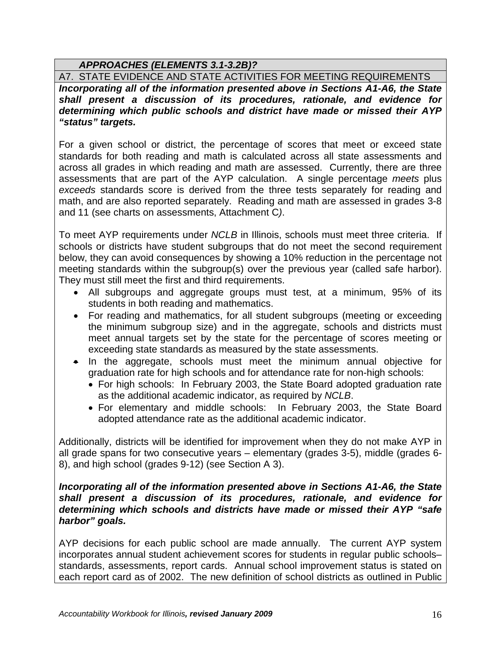## *APPROACHES (ELEMENTS 3.1-3.2B)?*

A7. STATE EVIDENCE AND STATE ACTIVITIES FOR MEETING REQUIREMENTS

*Incorporating all of the information presented above in Sections A1-A6, the State shall present a discussion of its procedures, rationale, and evidence for determining which public schools and district have made or missed their AYP "status" targets.*

For a given school or district, the percentage of scores that meet or exceed state standards for both reading and math is calculated across all state assessments and across all grades in which reading and math are assessed. Currently, there are three assessments that are part of the AYP calculation. A single percentage *meets* plus *exceeds* standards score is derived from the three tests separately for reading and math, and are also reported separately. Reading and math are assessed in grades 3-8 and 11 (see charts on assessments, Attachment C*)*.

To meet AYP requirements under *NCLB* in Illinois, schools must meet three criteria. If schools or districts have student subgroups that do not meet the second requirement below, they can avoid consequences by showing a 10% reduction in the percentage not meeting standards within the subgroup(s) over the previous year (called safe harbor). They must still meet the first and third requirements.

- All subgroups and aggregate groups must test, at a minimum, 95% of its students in both reading and mathematics.
- For reading and mathematics, for all student subgroups (meeting or exceeding the minimum subgroup size) and in the aggregate, schools and districts must meet annual targets set by the state for the percentage of scores meeting or exceeding state standards as measured by the state assessments.
- In the aggregate, schools must meet the minimum annual objective for graduation rate for high schools and for attendance rate for non-high schools:
	- For high schools: In February 2003, the State Board adopted graduation rate as the additional academic indicator, as required by *NCLB*.
	- For elementary and middle schools: In February 2003, the State Board adopted attendance rate as the additional academic indicator.

Additionally, districts will be identified for improvement when they do not make AYP in all grade spans for two consecutive years – elementary (grades 3-5), middle (grades 6- 8), and high school (grades 9-12) (see Section A 3).

#### *Incorporating all of the information presented above in Sections A1-A6, the State shall present a discussion of its procedures, rationale, and evidence for determining which schools and districts have made or missed their AYP "safe harbor" goals.*

AYP decisions for each public school are made annually. The current AYP system incorporates annual student achievement scores for students in regular public schools– standards, assessments, report cards. Annual school improvement status is stated on each report card as of 2002. The new definition of school districts as outlined in Public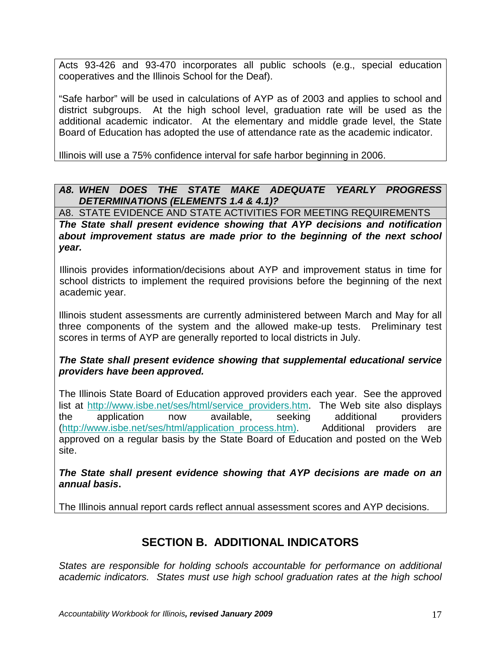Acts 93-426 and 93-470 incorporates all public schools (e.g., special education cooperatives and the Illinois School for the Deaf).

"Safe harbor" will be used in calculations of AYP as of 2003 and applies to school and district subgroups. At the high school level, graduation rate will be used as the additional academic indicator. At the elementary and middle grade level, the State Board of Education has adopted the use of attendance rate as the academic indicator.

Illinois will use a 75% confidence interval for safe harbor beginning in 2006.

## *A8. WHEN DOES THE STATE MAKE ADEQUATE YEARLY PROGRESS DETERMINATIONS (ELEMENTS 1.4 & 4.1)?*

A8. STATE EVIDENCE AND STATE ACTIVITIES FOR MEETING REQUIREMENTS

*The State shall present evidence showing that AYP decisions and notification about improvement status are made prior to the beginning of the next school year.*

Illinois provides information/decisions about AYP and improvement status in time for school districts to implement the required provisions before the beginning of the next academic year.

Illinois student assessments are currently administered between March and May for all three components of the system and the allowed make-up tests. Preliminary test scores in terms of AYP are generally reported to local districts in July.

## *The State shall present evidence showing that supplemental educational service providers have been approved.*

The Illinois State Board of Education approved providers each year. See the approved list at [http://www.isbe.net/ses/html/service\\_providers.htm.](http://www.isbe.net/ses/html/service_providers.htm) The Web site also displays the application now available, seeking additional providers [\(http://www.isbe.net/ses/html/application\\_process.htm\).](http://www.isbe.net/ses/html/application_process.htm)) Additional providers are approved on a regular basis by the State Board of Education and posted on the Web site.

*The State shall present evidence showing that AYP decisions are made on an annual basis***.**

The Illinois annual report cards reflect annual assessment scores and AYP decisions.

# **SECTION B. ADDITIONAL INDICATORS**

*States are responsible for holding schools accountable for performance on additional academic indicators. States must use high school graduation rates at the high school*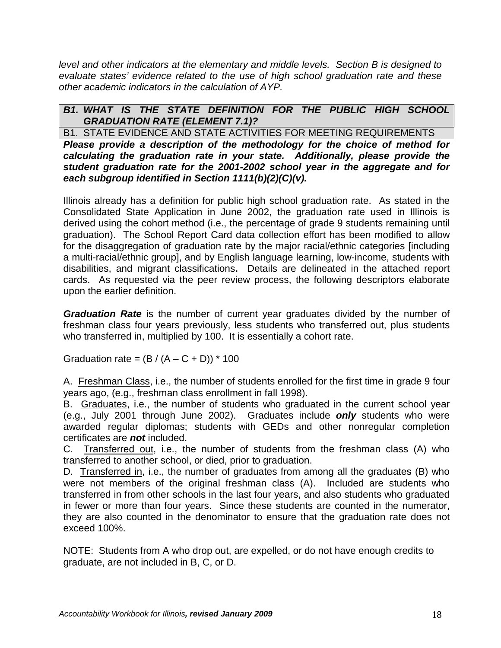*level and other indicators at the elementary and middle levels. Section B is designed to evaluate states' evidence related to the use of high school graduation rate and these other academic indicators in the calculation of AYP.*

## *B1. WHAT IS THE STATE DEFINITION FOR THE PUBLIC HIGH SCHOOL GRADUATION RATE (ELEMENT 7.1)?*

B1. STATE EVIDENCE AND STATE ACTIVITIES FOR MEETING REQUIREMENTS *Please provide a description of the methodology for the choice of method for calculating the graduation rate in your state. Additionally, please provide the student graduation rate for the 2001-2002 school year in the aggregate and for each subgroup identified in Section 1111(b)(2)(C)(v).*

Illinois already has a definition for public high school graduation rate. As stated in the Consolidated State Application in June 2002, the graduation rate used in Illinois is derived using the cohort method (i.e., the percentage of grade 9 students remaining until graduation). The School Report Card data collection effort has been modified to allow for the disaggregation of graduation rate by the major racial/ethnic categories [including a multi-racial/ethnic group], and by English language learning, low-income, students with disabilities, and migrant classifications**.** Details are delineated in the attached report cards. As requested via the peer review process, the following descriptors elaborate upon the earlier definition.

*Graduation Rate* is the number of current year graduates divided by the number of freshman class four years previously, less students who transferred out, plus students who transferred in, multiplied by 100. It is essentially a cohort rate.

Graduation rate =  $(B / (A – C + D))$  \* 100

A. Freshman Class, i.e., the number of students enrolled for the first time in grade 9 four years ago, (e.g., freshman class enrollment in fall 1998).

B. Graduates, i.e., the number of students who graduated in the current school year (e.g., July 2001 through June 2002). Graduates include *only* students who were awarded regular diplomas; students with GEDs and other nonregular completion certificates are *not* included.

C. Transferred out, i.e., the number of students from the freshman class (A) who transferred to another school, or died, prior to graduation.

D. Transferred in, i.e., the number of graduates from among all the graduates (B) who were not members of the original freshman class (A). Included are students who transferred in from other schools in the last four years, and also students who graduated in fewer or more than four years. Since these students are counted in the numerator, they are also counted in the denominator to ensure that the graduation rate does not exceed 100%.

NOTE: Students from A who drop out, are expelled, or do not have enough credits to graduate, are not included in B, C, or D.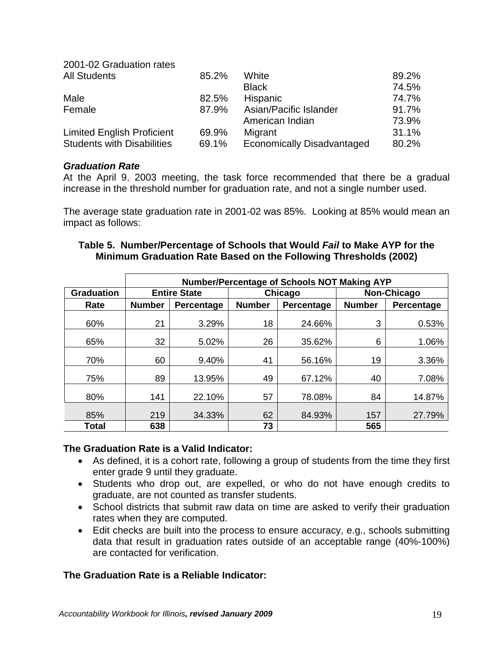| 2001-02 Graduation rates          |       |                                   |       |
|-----------------------------------|-------|-----------------------------------|-------|
| <b>All Students</b>               | 85.2% | White                             | 89.2% |
|                                   |       | <b>Black</b>                      | 74.5% |
| Male                              | 82.5% | <b>Hispanic</b>                   | 74.7% |
| Female                            | 87.9% | Asian/Pacific Islander            | 91.7% |
|                                   |       | American Indian                   | 73.9% |
| <b>Limited English Proficient</b> | 69.9% | Migrant                           | 31.1% |
| <b>Students with Disabilities</b> | 69.1% | <b>Economically Disadvantaged</b> | 80.2% |

#### *Graduation Rate*

At the April 9, 2003 meeting, the task force recommended that there be a gradual increase in the threshold number for graduation rate, and not a single number used.

The average state graduation rate in 2001-02 was 85%. Looking at 85% would mean an impact as follows:

|                   | Number/Percentage of Schools NOT Making AYP |                     |               |            |               |            |  |  |  |  |  |  |
|-------------------|---------------------------------------------|---------------------|---------------|------------|---------------|------------|--|--|--|--|--|--|
| <b>Graduation</b> |                                             | <b>Entire State</b> |               | Chicago    | Non-Chicago   |            |  |  |  |  |  |  |
| Rate              | <b>Number</b><br>Percentage                 |                     | <b>Number</b> | Percentage | <b>Number</b> | Percentage |  |  |  |  |  |  |
| 60%               | 21                                          | 3.29%               | 18            | 24.66%     | 3             | 0.53%      |  |  |  |  |  |  |
| 65%               | 32                                          | 5.02%               | 26            | 35.62%     | 6             | 1.06%      |  |  |  |  |  |  |
| 70%               | 60                                          | 9.40%               | 41            | 56.16%     | 19            | 3.36%      |  |  |  |  |  |  |
| 75%               | 89                                          | 13.95%              | 49            | 67.12%     | 40            | 7.08%      |  |  |  |  |  |  |
| 80%               | 141                                         | 22.10%              | 57            | 78.08%     | 84            | 14.87%     |  |  |  |  |  |  |
| 85%               | 219                                         | 34.33%              | 62            | 84.93%     | 157           | 27.79%     |  |  |  |  |  |  |
| <b>Total</b>      | 638                                         |                     | 73            |            | 565           |            |  |  |  |  |  |  |

### **Table 5. Number/Percentage of Schools that Would** *Fail* **to Make AYP for the Minimum Graduation Rate Based on the Following Thresholds (2002)**

#### **The Graduation Rate is a Valid Indicator:**

- As defined, it is a cohort rate, following a group of students from the time they first enter grade 9 until they graduate.
- Students who drop out, are expelled, or who do not have enough credits to graduate, are not counted as transfer students.
- School districts that submit raw data on time are asked to verify their graduation rates when they are computed.
- Edit checks are built into the process to ensure accuracy, e.g., schools submitting data that result in graduation rates outside of an acceptable range (40%-100%) are contacted for verification.

## **The Graduation Rate is a Reliable Indicator:**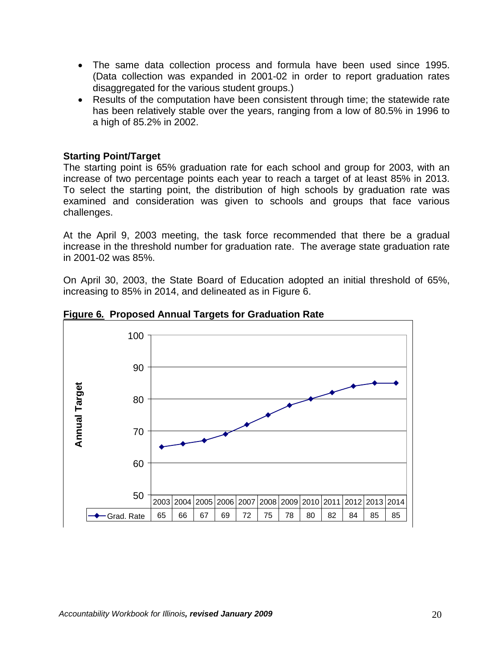- The same data collection process and formula have been used since 1995. (Data collection was expanded in 2001-02 in order to report graduation rates disaggregated for the various student groups.)
- Results of the computation have been consistent through time; the statewide rate has been relatively stable over the years, ranging from a low of 80.5% in 1996 to a high of 85.2% in 2002.

#### **Starting Point/Target**

The starting point is 65% graduation rate for each school and group for 2003, with an increase of two percentage points each year to reach a target of at least 85% in 2013. To select the starting point, the distribution of high schools by graduation rate was examined and consideration was given to schools and groups that face various challenges.

At the April 9, 2003 meeting, the task force recommended that there be a gradual increase in the threshold number for graduation rate. The average state graduation rate in 2001-02 was 85%.

On April 30, 2003, the State Board of Education adopted an initial threshold of 65%, increasing to 85% in 2014, and delineated as in Figure 6.



**Figure 6***.* **Proposed Annual Targets for Graduation Rate**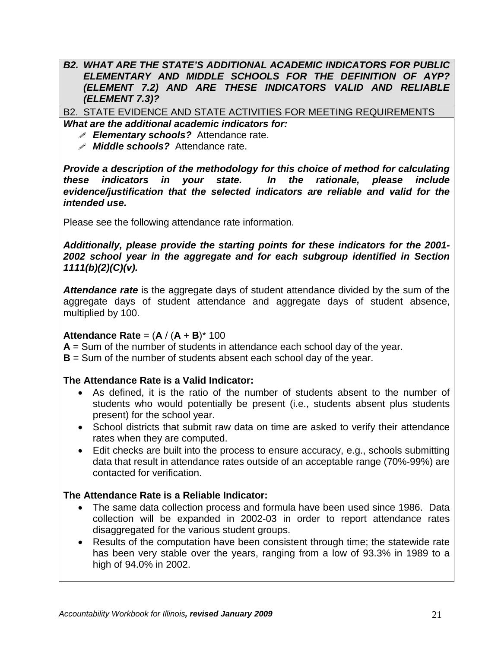#### *B2. WHAT ARE THE STATE'S ADDITIONAL ACADEMIC INDICATORS FOR PUBLIC ELEMENTARY AND MIDDLE SCHOOLS FOR THE DEFINITION OF AYP? (ELEMENT 7.2) AND ARE THESE INDICATORS VALID AND RELIABLE (ELEMENT 7.3)?*

B2. STATE EVIDENCE AND STATE ACTIVITIES FOR MEETING REQUIREMENTS *What are the additional academic indicators for:*

- *Elementary schools?* Attendance rate.
- *Middle schools?* Attendance rate.

*Provide a description of the methodology for this choice of method for calculating these indicators in your state. In the rationale, please include evidence/justification that the selected indicators are reliable and valid for the intended use.*

Please see the following attendance rate information.

*Additionally, please provide the starting points for these indicators for the 2001- 2002 school year in the aggregate and for each subgroup identified in Section 1111(b)(2)(C)(v).*

*Attendance rate* is the aggregate days of student attendance divided by the sum of the aggregate days of student attendance and aggregate days of student absence, multiplied by 100.

## **Attendance Rate** =  $(A / (A + B)^* 100$

**A** = Sum of the number of students in attendance each school day of the year.

**B** = Sum of the number of students absent each school day of the year.

## **The Attendance Rate is a Valid Indicator:**

- As defined, it is the ratio of the number of students absent to the number of students who would potentially be present (i.e., students absent plus students present) for the school year.
- School districts that submit raw data on time are asked to verify their attendance rates when they are computed.
- Edit checks are built into the process to ensure accuracy, e.g., schools submitting data that result in attendance rates outside of an acceptable range (70%-99%) are contacted for verification.

## **The Attendance Rate is a Reliable Indicator:**

- The same data collection process and formula have been used since 1986. Data collection will be expanded in 2002-03 in order to report attendance rates disaggregated for the various student groups.
- Results of the computation have been consistent through time; the statewide rate has been very stable over the years, ranging from a low of 93.3% in 1989 to a high of 94.0% in 2002.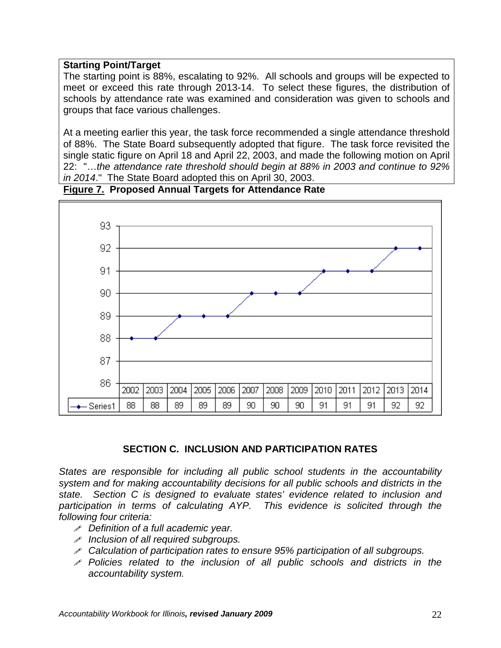### **Starting Point/Target**

The starting point is 88%, escalating to 92%. All schools and groups will be expected to meet or exceed this rate through 2013-14. To select these figures, the distribution of schools by attendance rate was examined and consideration was given to schools and groups that face various challenges.

At a meeting earlier this year, the task force recommended a single attendance threshold of 88%. The State Board subsequently adopted that figure. The task force revisited the single static figure on April 18 and April 22, 2003, and made the following motion on April 22: "…*the attendance rate threshold should begin at 88% in 2003 and continue to 92% in 2014*." The State Board adopted this on April 30, 2003.



## **Figure 7.****Proposed Annual Targets for Attendance Rate**

#### **SECTION C. INCLUSION AND PARTICIPATION RATES**

*States are responsible for including all public school students in the accountability system and for making accountability decisions for all public schools and districts in the state. Section C is designed to evaluate states' evidence related to inclusion and*  participation in terms of calculating AYP. This evidence is solicited through the *following four criteria:*

- *Definition of a full academic year.*
- *Inclusion of all required subgroups.*
- *Calculation of participation rates to ensure 95% participation of all subgroups.*
- *Policies related to the inclusion of all public schools and districts in the accountability system.*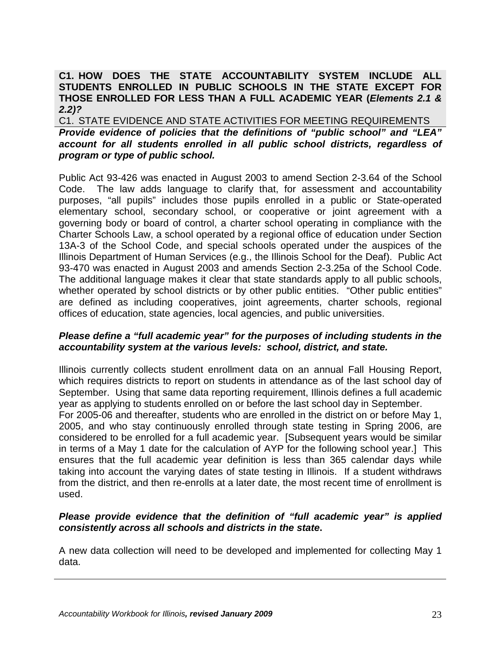## **C1. HOW DOES THE STATE ACCOUNTABILITY SYSTEM INCLUDE ALL STUDENTS ENROLLED IN PUBLIC SCHOOLS IN THE STATE EXCEPT FOR THOSE ENROLLED FOR LESS THAN A FULL ACADEMIC YEAR (***Elements 2.1 & 2.2)?*

C1. STATE EVIDENCE AND STATE ACTIVITIES FOR MEETING REQUIREMENTS *Provide evidence of policies that the definitions of "public school" and "LEA" account for all students enrolled in all public school districts, regardless of program or type of public school.*

Public Act 93-426 was enacted in August 2003 to amend Section 2-3.64 of the School Code. The law adds language to clarify that, for assessment and accountability purposes, "all pupils" includes those pupils enrolled in a public or State-operated elementary school, secondary school, or cooperative or joint agreement with a governing body or board of control, a charter school operating in compliance with the Charter Schools Law, a school operated by a regional office of education under Section 13A-3 of the School Code, and special schools operated under the auspices of the Illinois Department of Human Services (e.g., the Illinois School for the Deaf). Public Act 93-470 was enacted in August 2003 and amends Section 2-3.25a of the School Code. The additional language makes it clear that state standards apply to all public schools, whether operated by school districts or by other public entities. "Other public entities" are defined as including cooperatives, joint agreements, charter schools, regional offices of education, state agencies, local agencies, and public universities.

#### *Please define a "full academic year" for the purposes of including students in the accountability system at the various levels: school, district, and state.*

Illinois currently collects student enrollment data on an annual Fall Housing Report, which requires districts to report on students in attendance as of the last school day of September. Using that same data reporting requirement, Illinois defines a full academic year as applying to students enrolled on or before the last school day in September.

For 2005-06 and thereafter, students who are enrolled in the district on or before May 1, 2005, and who stay continuously enrolled through state testing in Spring 2006, are considered to be enrolled for a full academic year. [Subsequent years would be similar in terms of a May 1 date for the calculation of AYP for the following school year.] This ensures that the full academic year definition is less than 365 calendar days while taking into account the varying dates of state testing in Illinois. If a student withdraws from the district, and then re-enrolls at a later date, the most recent time of enrollment is used.

### *Please provide evidence that the definition of "full academic year" is applied consistently across all schools and districts in the state***.**

A new data collection will need to be developed and implemented for collecting May 1 data.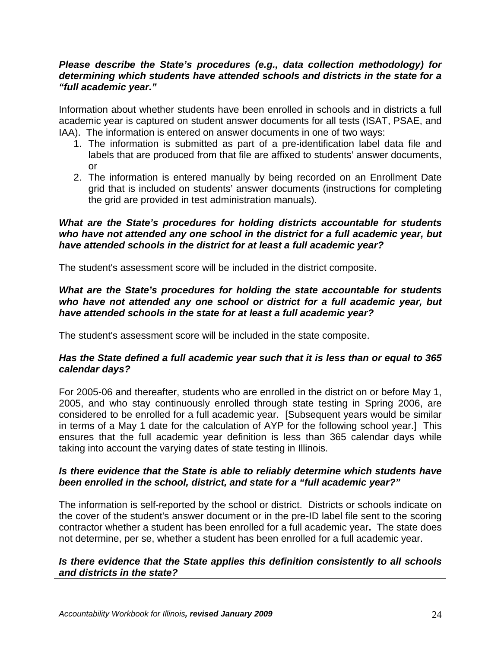#### *Please describe the State's procedures (e.g., data collection methodology) for determining which students have attended schools and districts in the state for a "full academic year."*

Information about whether students have been enrolled in schools and in districts a full academic year is captured on student answer documents for all tests (ISAT, PSAE, and IAA). The information is entered on answer documents in one of two ways:

- 1. The information is submitted as part of a pre-identification label data file and labels that are produced from that file are affixed to students' answer documents, or
- 2. The information is entered manually by being recorded on an Enrollment Date grid that is included on students' answer documents (instructions for completing the grid are provided in test administration manuals).

#### *What are the State's procedures for holding districts accountable for students who have not attended any one school in the district for a full academic year, but have attended schools in the district for at least a full academic year?*

The student's assessment score will be included in the district composite.

#### *What are the State's procedures for holding the state accountable for students*  who have not attended any one school or district for a full academic year, but *have attended schools in the state for at least a full academic year?*

The student's assessment score will be included in the state composite.

### *Has the State defined a full academic year such that it is less than or equal to 365 calendar days?*

For 2005-06 and thereafter, students who are enrolled in the district on or before May 1, 2005, and who stay continuously enrolled through state testing in Spring 2006, are considered to be enrolled for a full academic year. [Subsequent years would be similar in terms of a May 1 date for the calculation of AYP for the following school year.] This ensures that the full academic year definition is less than 365 calendar days while taking into account the varying dates of state testing in Illinois.

### *Is there evidence that the State is able to reliably determine which students have been enrolled in the school, district, and state for a "full academic year?"*

The information is self-reported by the school or district. Districts or schools indicate on the cover of the student's answer document or in the pre-ID label file sent to the scoring contractor whether a student has been enrolled for a full academic year**.** The state does not determine, per se, whether a student has been enrolled for a full academic year.

#### *Is there evidence that the State applies this definition consistently to all schools and districts in the state?*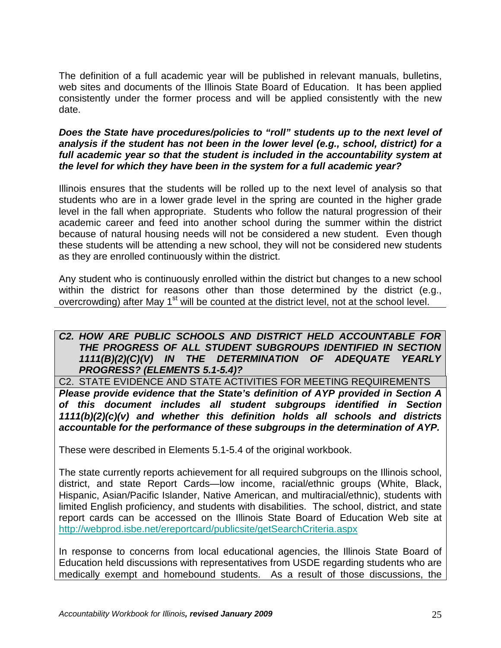The definition of a full academic year will be published in relevant manuals, bulletins, web sites and documents of the Illinois State Board of Education. It has been applied consistently under the former process and will be applied consistently with the new date.

#### *Does the State have procedures/policies to "roll" students up to the next level of analysis if the student has not been in the lower level (e.g., school, district) for a*  full academic year so that the student is included in the accountability system at *the level for which they have been in the system for a full academic year?*

Illinois ensures that the students will be rolled up to the next level of analysis so that students who are in a lower grade level in the spring are counted in the higher grade level in the fall when appropriate. Students who follow the natural progression of their academic career and feed into another school during the summer within the district because of natural housing needs will not be considered a new student. Even though these students will be attending a new school, they will not be considered new students as they are enrolled continuously within the district.

Any student who is continuously enrolled within the district but changes to a new school within the district for reasons other than those determined by the district (e.g., overcrowding) after May 1<sup>st</sup> will be counted at the district level, not at the school level.

#### *C2. HOW ARE PUBLIC SCHOOLS AND DISTRICT HELD ACCOUNTABLE FOR THE PROGRESS OF ALL STUDENT SUBGROUPS IDENTIFIED IN SECTION 1111(B)(2)(C)(V) IN THE DETERMINATION OF ADEQUATE YEARLY PROGRESS? (ELEMENTS 5.1-5.4)?*

C2. STATE EVIDENCE AND STATE ACTIVITIES FOR MEETING REQUIREMENTS *Please provide evidence that the State's definition of AYP provided in Section A of this document includes all student subgroups identified in Section 1111(b)(2)(c)(v) and whether this definition holds all schools and districts accountable for the performance of these subgroups in the determination of AYP.*

These were described in Elements 5.1-5.4 of the original workbook.

The state currently reports achievement for all required subgroups on the Illinois school, district, and state Report Cards—low income, racial/ethnic groups (White, Black, Hispanic, Asian/Pacific Islander, Native American, and multiracial/ethnic), students with limited English proficiency, and students with disabilities. The school, district, and state report cards can be accessed on the Illinois State Board of Education Web site at <http://webprod.isbe.net/ereportcard/publicsite/getSearchCriteria.aspx>

In response to concerns from local educational agencies, the Illinois State Board of Education held discussions with representatives from USDE regarding students who are medically exempt and homebound students. As a result of those discussions, the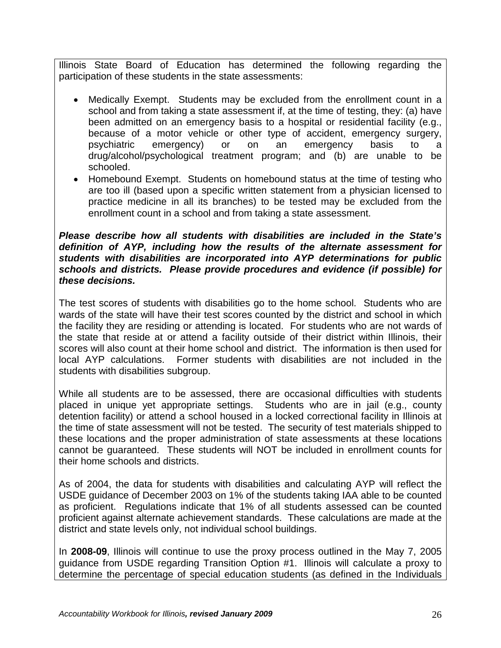Illinois State Board of Education has determined the following regarding the participation of these students in the state assessments:

- Medically Exempt. Students may be excluded from the enrollment count in a school and from taking a state assessment if, at the time of testing, they: (a) have been admitted on an emergency basis to a hospital or residential facility (e.g., because of a motor vehicle or other type of accident, emergency surgery, psychiatric emergency) or on an emergency basis to a drug/alcohol/psychological treatment program; and (b) are unable to be schooled.
- Homebound Exempt. Students on homebound status at the time of testing who are too ill (based upon a specific written statement from a physician licensed to practice medicine in all its branches) to be tested may be excluded from the enrollment count in a school and from taking a state assessment.

#### *Please describe how all students with disabilities are included in the State's definition of AYP, including how the results of the alternate assessment for students with disabilities are incorporated into AYP determinations for public schools and districts. Please provide procedures and evidence (if possible) for these decisions.*

The test scores of students with disabilities go to the home school. Students who are wards of the state will have their test scores counted by the district and school in which the facility they are residing or attending is located. For students who are not wards of the state that reside at or attend a facility outside of their district within Illinois, their scores will also count at their home school and district. The information is then used for local AYP calculations. Former students with disabilities are not included in the students with disabilities subgroup.

While all students are to be assessed, there are occasional difficulties with students placed in unique yet appropriate settings. Students who are in jail (e.g., county detention facility) or attend a school housed in a locked correctional facility in Illinois at the time of state assessment will not be tested. The security of test materials shipped to these locations and the proper administration of state assessments at these locations cannot be guaranteed. These students will NOT be included in enrollment counts for their home schools and districts.

As of 2004, the data for students with disabilities and calculating AYP will reflect the USDE guidance of December 2003 on 1% of the students taking IAA able to be counted as proficient. Regulations indicate that 1% of all students assessed can be counted proficient against alternate achievement standards. These calculations are made at the district and state levels only, not individual school buildings.

In **2008-09**, Illinois will continue to use the proxy process outlined in the May 7, 2005 guidance from USDE regarding Transition Option #1. Illinois will calculate a proxy to determine the percentage of special education students (as defined in the Individuals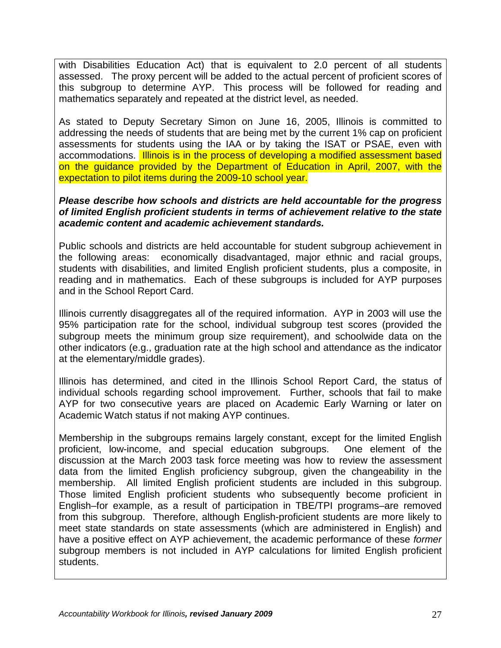with Disabilities Education Act) that is equivalent to 2.0 percent of all students assessed. The proxy percent will be added to the actual percent of proficient scores of this subgroup to determine AYP. This process will be followed for reading and mathematics separately and repeated at the district level, as needed.

As stated to Deputy Secretary Simon on June 16, 2005, Illinois is committed to addressing the needs of students that are being met by the current 1% cap on proficient assessments for students using the IAA or by taking the ISAT or PSAE, even with accommodations. Illinois is in the process of developing a modified assessment based on the guidance provided by the Department of Education in April, 2007, with the expectation to pilot items during the 2009-10 school year.

#### *Please describe how schools and districts are held accountable for the progress of limited English proficient students in terms of achievement relative to the state academic content and academic achievement standards.*

Public schools and districts are held accountable for student subgroup achievement in the following areas: economically disadvantaged, major ethnic and racial groups, students with disabilities, and limited English proficient students, plus a composite, in reading and in mathematics. Each of these subgroups is included for AYP purposes and in the School Report Card.

Illinois currently disaggregates all of the required information. AYP in 2003 will use the 95% participation rate for the school, individual subgroup test scores (provided the subgroup meets the minimum group size requirement), and schoolwide data on the other indicators (e.g., graduation rate at the high school and attendance as the indicator at the elementary/middle grades).

Illinois has determined, and cited in the Illinois School Report Card, the status of individual schools regarding school improvement. Further, schools that fail to make AYP for two consecutive years are placed on Academic Early Warning or later on Academic Watch status if not making AYP continues.

Membership in the subgroups remains largely constant, except for the limited English proficient, low-income, and special education subgroups. One element of the discussion at the March 2003 task force meeting was how to review the assessment data from the limited English proficiency subgroup, given the changeability in the membership. All limited English proficient students are included in this subgroup. Those limited English proficient students who subsequently become proficient in English–for example, as a result of participation in TBE/TPI programs–are removed from this subgroup. Therefore, although English-proficient students are more likely to meet state standards on state assessments (which are administered in English) and have a positive effect on AYP achievement, the academic performance of these *former* subgroup members is not included in AYP calculations for limited English proficient students.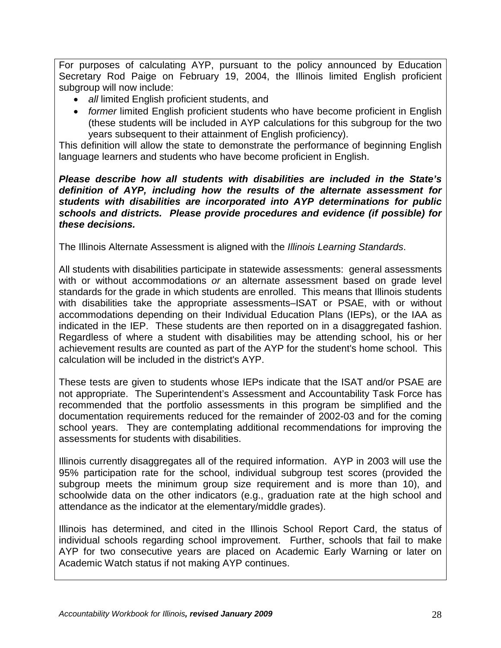For purposes of calculating AYP, pursuant to the policy announced by Education Secretary Rod Paige on February 19, 2004, the Illinois limited English proficient subgroup will now include:

- *all* limited English proficient students, and
- *former* limited English proficient students who have become proficient in English (these students will be included in AYP calculations for this subgroup for the two years subsequent to their attainment of English proficiency).

This definition will allow the state to demonstrate the performance of beginning English language learners and students who have become proficient in English.

#### *Please describe how all students with disabilities are included in the State's definition of AYP, including how the results of the alternate assessment for students with disabilities are incorporated into AYP determinations for public schools and districts. Please provide procedures and evidence (if possible) for these decisions.*

The Illinois Alternate Assessment is aligned with the *Illinois Learning Standards*.

All students with disabilities participate in statewide assessments: general assessments with or without accommodations *or* an alternate assessment based on grade level standards for the grade in which students are enrolled. This means that Illinois students with disabilities take the appropriate assessments–ISAT or PSAE, with or without accommodations depending on their Individual Education Plans (IEPs), or the IAA as indicated in the IEP. These students are then reported on in a disaggregated fashion. Regardless of where a student with disabilities may be attending school, his or her achievement results are counted as part of the AYP for the student's home school. This calculation will be included in the district's AYP.

These tests are given to students whose IEPs indicate that the ISAT and/or PSAE are not appropriate. The Superintendent's Assessment and Accountability Task Force has recommended that the portfolio assessments in this program be simplified and the documentation requirements reduced for the remainder of 2002-03 and for the coming school years. They are contemplating additional recommendations for improving the assessments for students with disabilities.

Illinois currently disaggregates all of the required information. AYP in 2003 will use the 95% participation rate for the school, individual subgroup test scores (provided the subgroup meets the minimum group size requirement and is more than 10), and schoolwide data on the other indicators (e.g., graduation rate at the high school and attendance as the indicator at the elementary/middle grades).

Illinois has determined, and cited in the Illinois School Report Card, the status of individual schools regarding school improvement. Further, schools that fail to make AYP for two consecutive years are placed on Academic Early Warning or later on Academic Watch status if not making AYP continues.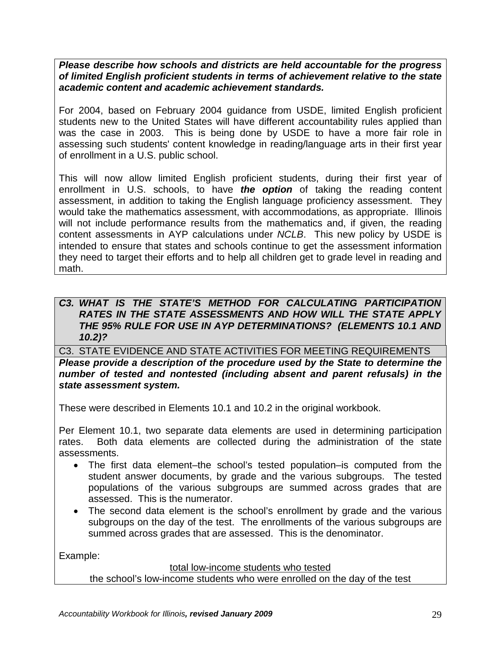*Please describe how schools and districts are held accountable for the progress of limited English proficient students in terms of achievement relative to the state academic content and academic achievement standards.*

For 2004, based on February 2004 guidance from USDE, limited English proficient students new to the United States will have different accountability rules applied than was the case in 2003. This is being done by USDE to have a more fair role in assessing such students' content knowledge in reading/language arts in their first year of enrollment in a U.S. public school.

This will now allow limited English proficient students, during their first year of enrollment in U.S. schools, to have *the option* of taking the reading content assessment, in addition to taking the English language proficiency assessment. They would take the mathematics assessment, with accommodations, as appropriate. Illinois will not include performance results from the mathematics and, if given, the reading content assessments in AYP calculations under *NCLB*. This new policy by USDE is intended to ensure that states and schools continue to get the assessment information they need to target their efforts and to help all children get to grade level in reading and math.

### **C3. WHAT IS THE STATE'S METHOD FOR CALCULATING PARTICIPATION** *RATES IN THE STATE ASSESSMENTS AND HOW WILL THE STATE APPLY THE 95% RULE FOR USE IN AYP DETERMINATIONS? (ELEMENTS 10.1 AND 10.2)?*

C3. STATE EVIDENCE AND STATE ACTIVITIES FOR MEETING REQUIREMENTS

*Please provide a description of the procedure used by the State to determine the number of tested and nontested (including absent and parent refusals) in the state assessment system.*

These were described in Elements 10.1 and 10.2 in the original workbook.

Per Element 10.1, two separate data elements are used in determining participation rates. Both data elements are collected during the administration of the state assessments.

- The first data element–the school's tested population–is computed from the student answer documents, by grade and the various subgroups. The tested populations of the various subgroups are summed across grades that are assessed. This is the numerator.
- The second data element is the school's enrollment by grade and the various subgroups on the day of the test. The enrollments of the various subgroups are summed across grades that are assessed. This is the denominator.

Example:

#### total low-income students who tested

the school's low-income students who were enrolled on the day of the test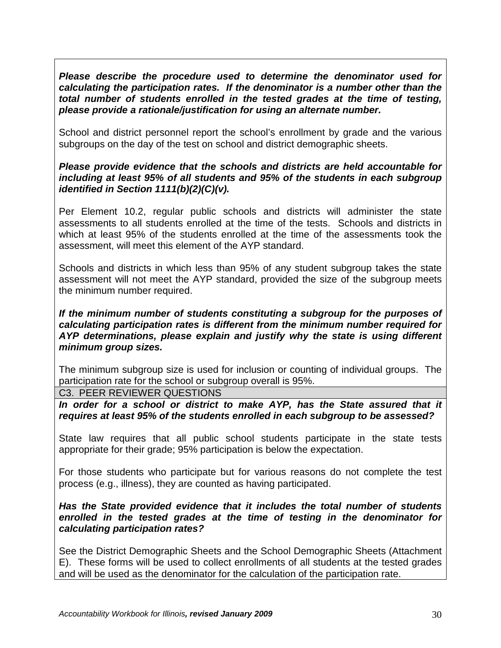*Please describe the procedure used to determine the denominator used for calculating the participation rates. If the denominator is a number other than the total number of students enrolled in the tested grades at the time of testing, please provide a rationale/justification for using an alternate number.*

School and district personnel report the school's enrollment by grade and the various subgroups on the day of the test on school and district demographic sheets.

### *Please provide evidence that the schools and districts are held accountable for including at least 95% of all students and 95% of the students in each subgroup identified in Section 1111(b)(2)(C)(v).*

Per Element 10.2, regular public schools and districts will administer the state assessments to all students enrolled at the time of the tests. Schools and districts in which at least 95% of the students enrolled at the time of the assessments took the assessment, will meet this element of the AYP standard.

Schools and districts in which less than 95% of any student subgroup takes the state assessment will not meet the AYP standard, provided the size of the subgroup meets the minimum number required.

#### *If the minimum number of students constituting a subgroup for the purposes of calculating participation rates is different from the minimum number required for AYP determinations, please explain and justify why the state is using different minimum group sizes.*

The minimum subgroup size is used for inclusion or counting of individual groups. The participation rate for the school or subgroup overall is 95%.

C3. PEER REVIEWER QUESTIONS

In order for a school or district to make AYP, has the State assured that it *requires at least 95% of the students enrolled in each subgroup to be assessed?*

State law requires that all public school students participate in the state tests appropriate for their grade; 95% participation is below the expectation.

For those students who participate but for various reasons do not complete the test process (e.g., illness), they are counted as having participated.

### *Has the State provided evidence that it includes the total number of students enrolled in the tested grades at the time of testing in the denominator for calculating participation rates?*

See the District Demographic Sheets and the School Demographic Sheets (Attachment E). These forms will be used to collect enrollments of all students at the tested grades and will be used as the denominator for the calculation of the participation rate.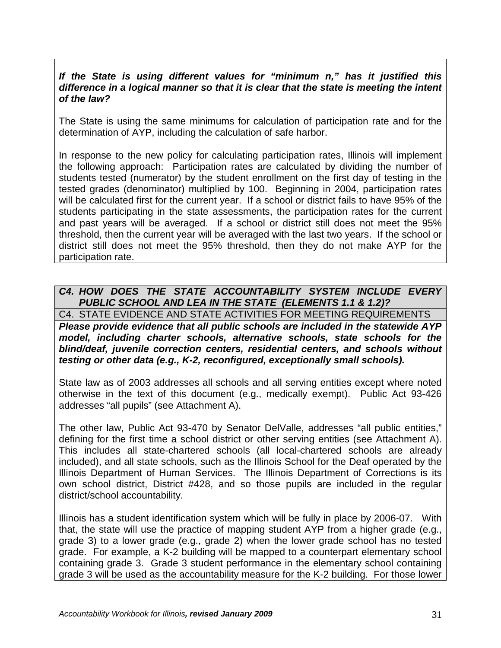#### *If the State is using different values for "minimum n," has it justified this difference in a logical manner so that it is clear that the state is meeting the intent of the law?*

The State is using the same minimums for calculation of participation rate and for the determination of AYP, including the calculation of safe harbor.

In response to the new policy for calculating participation rates, Illinois will implement the following approach: Participation rates are calculated by dividing the number of students tested (numerator) by the student enrollment on the first day of testing in the tested grades (denominator) multiplied by 100. Beginning in 2004, participation rates will be calculated first for the current year. If a school or district fails to have 95% of the students participating in the state assessments, the participation rates for the current and past years will be averaged. If a school or district still does not meet the 95% threshold, then the current year will be averaged with the last two years. If the school or district still does not meet the 95% threshold, then they do not make AYP for the participation rate.

## *C4. HOW DOES THE STATE ACCOUNTABILITY SYSTEM INCLUDE EVERY PUBLIC SCHOOL AND LEA IN THE STATE (ELEMENTS 1.1 & 1.2)?*

C4. STATE EVIDENCE AND STATE ACTIVITIES FOR MEETING REQUIREMENTS *Please provide evidence that all public schools are included in the statewide AYP model, including charter schools, alternative schools, state schools for the blind/deaf, juvenile correction centers, residential centers, and schools without testing or other data (e.g., K-2, reconfigured, exceptionally small schools).*

State law as of 2003 addresses all schools and all serving entities except where noted otherwise in the text of this document (e.g., medically exempt). Public Act 93-426 addresses "all pupils" (see Attachment A).

The other law, Public Act 93-470 by Senator DelValle, addresses "all public entities," defining for the first time a school district or other serving entities (see Attachment A). This includes all state-chartered schools (all local-chartered schools are already included), and all state schools, such as the Illinois School for the Deaf operated by the Illinois Department of Human Services. The Illinois Department of Corrections is its own school district, District #428, and so those pupils are included in the regular district/school accountability.

Illinois has a student identification system which will be fully in place by 2006-07. With that, the state will use the practice of mapping student AYP from a higher grade (e.g., grade 3) to a lower grade (e.g., grade 2) when the lower grade school has no tested grade. For example, a K-2 building will be mapped to a counterpart elementary school containing grade 3. Grade 3 student performance in the elementary school containing grade 3 will be used as the accountability measure for the K-2 building. For those lower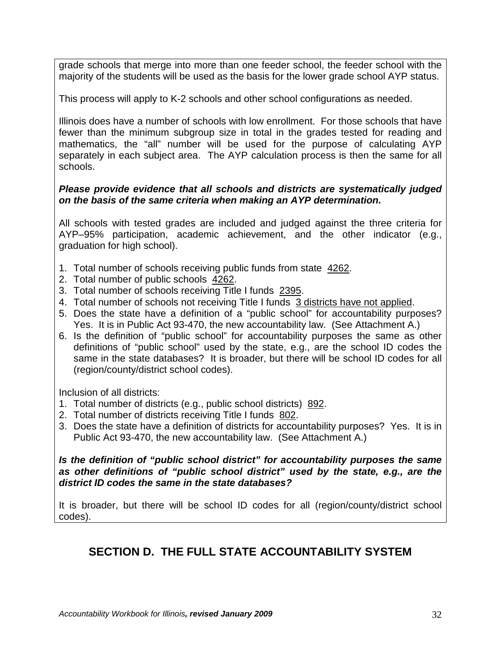grade schools that merge into more than one feeder school, the feeder school with the majority of the students will be used as the basis for the lower grade school AYP status.

This process will apply to K-2 schools and other school configurations as needed.

Illinois does have a number of schools with low enrollment. For those schools that have fewer than the minimum subgroup size in total in the grades tested for reading and mathematics, the "all" number will be used for the purpose of calculating AYP separately in each subject area. The AYP calculation process is then the same for all schools.

#### *Please provide evidence that all schools and districts are systematically judged on the basis of the same criteria when making an AYP determination.*

All schools with tested grades are included and judged against the three criteria for AYP–95% participation, academic achievement, and the other indicator (e.g., graduation for high school).

- 1. Total number of schools receiving public funds from state 4262.
- 2. Total number of public schools 4262.
- 3. Total number of schools receiving Title I funds 2395.
- 4. Total number of schools not receiving Title I funds 3 districts have not applied.
- 5. Does the state have a definition of a "public school" for accountability purposes? Yes. It is in Public Act 93-470, the new accountability law. (See Attachment A.)
- 6. Is the definition of "public school" for accountability purposes the same as other definitions of "public school" used by the state, e.g., are the school ID codes the same in the state databases? It is broader, but there will be school ID codes for all (region/county/district school codes).

Inclusion of all districts:

- 1. Total number of districts (e.g., public school districts) 892.
- 2. Total number of districts receiving Title I funds 802.
- 3. Does the state have a definition of districts for accountability purposes? Yes. It is in Public Act 93-470, the new accountability law. (See Attachment A.)

*Is the definition of "public school district" for accountability purposes the same as other definitions of "public school district" used by the state, e.g., are the district ID codes the same in the state databases?*

It is broader, but there will be school ID codes for all (region/county/district school codes).

# **SECTION D. THE FULL STATE ACCOUNTABILITY SYSTEM**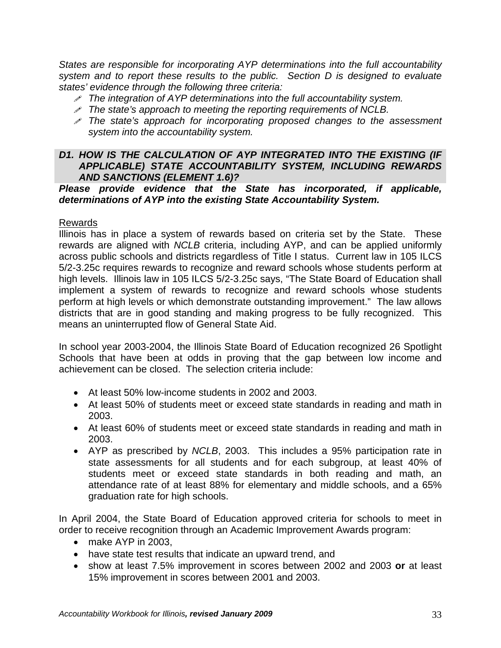*States are responsible for incorporating AYP determinations into the full accountability system and to report these results to the public. Section D is designed to evaluate states' evidence through the following three criteria:*

- *The integration of AYP determinations into the full accountability system.*
- *The state's approach to meeting the reporting requirements of NCLB.*
- *The state's approach for incorporating proposed changes to the assessment system into the accountability system.*

#### *D1. HOW IS THE CALCULATION OF AYP INTEGRATED INTO THE EXISTING (IF APPLICABLE) STATE ACCOUNTABILITY SYSTEM, INCLUDING REWARDS AND SANCTIONS (ELEMENT 1.6)?*

#### *Please provide evidence that the State has incorporated, if applicable, determinations of AYP into the existing State Accountability System.*

### Rewards

Illinois has in place a system of rewards based on criteria set by the State. These rewards are aligned with *NCLB* criteria, including AYP, and can be applied uniformly across public schools and districts regardless of Title I status. Current law in 105 ILCS 5/2-3.25c requires rewards to recognize and reward schools whose students perform at high levels. Illinois law in 105 ILCS 5/2-3.25c says, "The State Board of Education shall implement a system of rewards to recognize and reward schools whose students perform at high levels or which demonstrate outstanding improvement." The law allows districts that are in good standing and making progress to be fully recognized. This means an uninterrupted flow of General State Aid.

In school year 2003-2004, the Illinois State Board of Education recognized 26 Spotlight Schools that have been at odds in proving that the gap between low income and achievement can be closed. The selection criteria include:

- At least 50% low-income students in 2002 and 2003.
- At least 50% of students meet or exceed state standards in reading and math in 2003.
- At least 60% of students meet or exceed state standards in reading and math in 2003.
- AYP as prescribed by *NCLB*, 2003. This includes a 95% participation rate in state assessments for all students and for each subgroup, at least 40% of students meet or exceed state standards in both reading and math, an attendance rate of at least 88% for elementary and middle schools, and a 65% graduation rate for high schools.

In April 2004, the State Board of Education approved criteria for schools to meet in order to receive recognition through an Academic Improvement Awards program:

- make AYP in 2003,
- have state test results that indicate an upward trend, and
- show at least 7.5% improvement in scores between 2002 and 2003 **or** at least 15% improvement in scores between 2001 and 2003.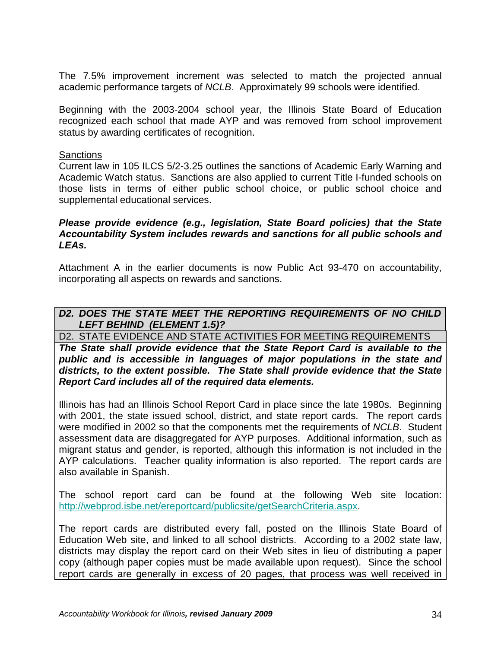The 7.5% improvement increment was selected to match the projected annual academic performance targets of *NCLB*. Approximately 99 schools were identified.

Beginning with the 2003-2004 school year, the Illinois State Board of Education recognized each school that made AYP and was removed from school improvement status by awarding certificates of recognition.

#### **Sanctions**

Current law in 105 ILCS 5/2-3.25 outlines the sanctions of Academic Early Warning and Academic Watch status. Sanctions are also applied to current Title I-funded schools on those lists in terms of either public school choice, or public school choice and supplemental educational services.

#### *Please provide evidence (e.g., legislation, State Board policies) that the State Accountability System includes rewards and sanctions for all public schools and LEAs.*

Attachment A in the earlier documents is now Public Act 93-470 on accountability, incorporating all aspects on rewards and sanctions.

### *D2. DOES THE STATE MEET THE REPORTING REQUIREMENTS OF NO CHILD LEFT BEHIND (ELEMENT 1.5)?*

D2. STATE EVIDENCE AND STATE ACTIVITIES FOR MEETING REQUIREMENTS

*The State shall provide evidence that the State Report Card is available to the public and is accessible in languages of major populations in the state and districts, to the extent possible. The State shall provide evidence that the State Report Card includes all of the required data elements.*

Illinois has had an Illinois School Report Card in place since the late 1980s. Beginning with 2001, the state issued school, district, and state report cards. The report cards were modified in 2002 so that the components met the requirements of *NCLB*. Student assessment data are disaggregated for AYP purposes. Additional information, such as migrant status and gender, is reported, although this information is not included in the AYP calculations. Teacher quality information is also reported. The report cards are also available in Spanish.

The school report card can be found at the following Web site location: [http://webprod.isbe.net/ereportcard/publicsite/getSearchCriteria.aspx.](http://webprod.isbe.net/ereportcard/publicsite/getSearchCriteria.aspx)

The report cards are distributed every fall, posted on the Illinois State Board of Education Web site, and linked to all school districts. According to a 2002 state law, districts may display the report card on their Web sites in lieu of distributing a paper copy (although paper copies must be made available upon request). Since the school report cards are generally in excess of 20 pages, that process was well received in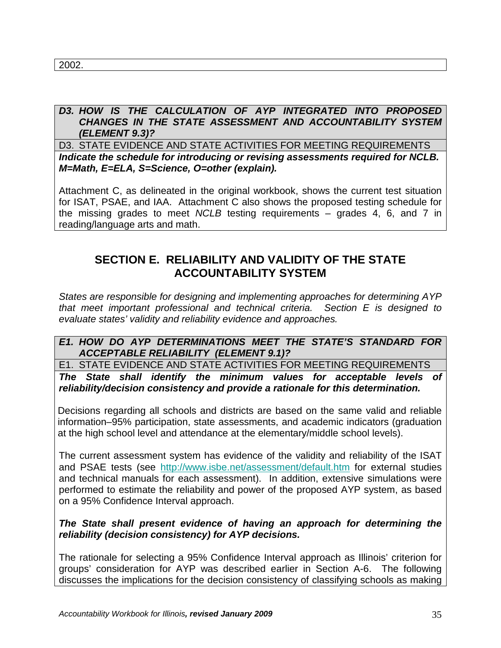2002.

#### *D3. HOW IS THE CALCULATION OF AYP INTEGRATED INTO PROPOSED CHANGES IN THE STATE ASSESSMENT AND ACCOUNTABILITY SYSTEM (ELEMENT 9.3)?*

D3. STATE EVIDENCE AND STATE ACTIVITIES FOR MEETING REQUIREMENTS *Indicate the schedule for introducing or revising assessments required for NCLB. M=Math, E=ELA, S=Science, O=other (explain).*

Attachment C, as delineated in the original workbook, shows the current test situation for ISAT, PSAE, and IAA. Attachment C also shows the proposed testing schedule for the missing grades to meet *NCLB* testing requirements – grades 4, 6, and 7 in reading/language arts and math.

# **SECTION E. RELIABILITY AND VALIDITY OF THE STATE ACCOUNTABILITY SYSTEM**

*States are responsible for designing and implementing approaches for determining AYP that meet important professional and technical criteria. Section E is designed to evaluate states' validity and reliability evidence and approaches.*

### *E1. HOW DO AYP DETERMINATIONS MEET THE STATE'S STANDARD FOR ACCEPTABLE RELIABILITY (ELEMENT 9.1)?*

E1. STATE EVIDENCE AND STATE ACTIVITIES FOR MEETING REQUIREMENTS

*The State shall identify the minimum values for acceptable levels of reliability/decision consistency and provide a rationale for this determination.*

Decisions regarding all schools and districts are based on the same valid and reliable information–95% participation, state assessments, and academic indicators (graduation at the high school level and attendance at the elementary/middle school levels).

The current assessment system has evidence of the validity and reliability of the ISAT and PSAE tests (see <http://www.isbe.net/assessment/default.htm> for external studies and technical manuals for each assessment). In addition, extensive simulations were performed to estimate the reliability and power of the proposed AYP system, as based on a 95% Confidence Interval approach.

### *The State shall present evidence of having an approach for determining the reliability (decision consistency) for AYP decisions.*

The rationale for selecting a 95% Confidence Interval approach as Illinois' criterion for groups' consideration for AYP was described earlier in Section A-6. The following discusses the implications for the decision consistency of classifying schools as making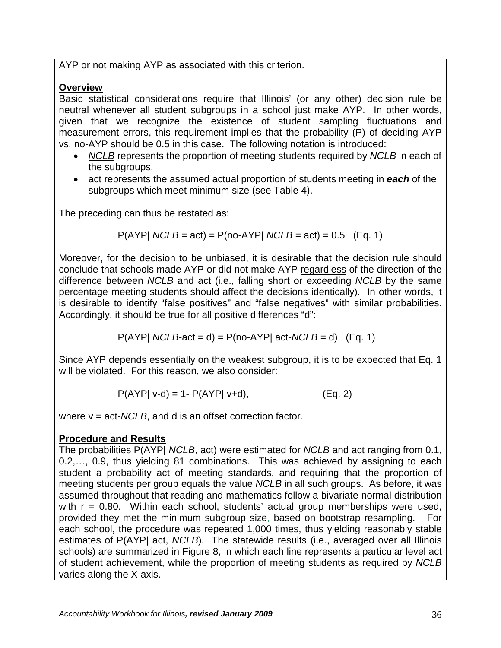AYP or not making AYP as associated with this criterion.

## **Overview**

Basic statistical considerations require that Illinois' (or any other) decision rule be neutral whenever all student subgroups in a school just make AYP. In other words, given that we recognize the existence of student sampling fluctuations and measurement errors, this requirement implies that the probability (P) of deciding AYP vs. no-AYP should be 0.5 in this case. The following notation is introduced:

- *NCLB* represents the proportion of meeting students required by *NCLB* in each of the subgroups.
- act represents the assumed actual proportion of students meeting in *each* of the subgroups which meet minimum size (see Table 4).

The preceding can thus be restated as:

$$
P(AYP \mid NCLB = act) = P(no-AYP \mid NCLB = act) = 0.5
$$
 (Eq. 1)

Moreover, for the decision to be unbiased, it is desirable that the decision rule should conclude that schools made AYP or did not make AYP regardless of the direction of the difference between *NCLB* and act (i.e., falling short or exceeding *NCLB* by the same percentage meeting students should affect the decisions identically). In other words, it is desirable to identify "false positives" and "false negatives" with similar probabilities. Accordingly, it should be true for all positive differences "d":

$$
P(AYP \mid NCLB\text{-}act = d) = P(no-AYP \mid act\text{-}NCLB = d)
$$
 (Eq. 1)

Since AYP depends essentially on the weakest subgroup, it is to be expected that Eq. 1 will be violated. For this reason, we also consider:

$$
P(AYP|V-d) = 1 - P(AYP|V+d),
$$
 (Eq. 2)

where v = act-*NCLB*, and d is an offset correction factor.

## **Procedure and Results**

The probabilities P(AYP| *NCLB*, act) were estimated for *NCLB* and act ranging from 0.1, 0.2,…, 0.9, thus yielding 81 combinations. This was achieved by assigning to each student a probability act of meeting standards, and requiring that the proportion of meeting students per group equals the value *NCLB* in all such groups. As before, it was assumed throughout that reading and mathematics follow a bivariate normal distribution with  $r = 0.80$ . Within each school, students' actual group memberships were used, provided they met the minimum subgroup size, based on bootstrap resampling. For each school, the procedure was repeated 1,000 times, thus yielding reasonably stable estimates of P(AYP) act, *NCLB*). The statewide results (i.e., averaged over all Illinois schools) are summarized in Figure 8, in which each line represents a particular level act of student achievement, while the proportion of meeting students as required by *NCLB* varies along the X-axis.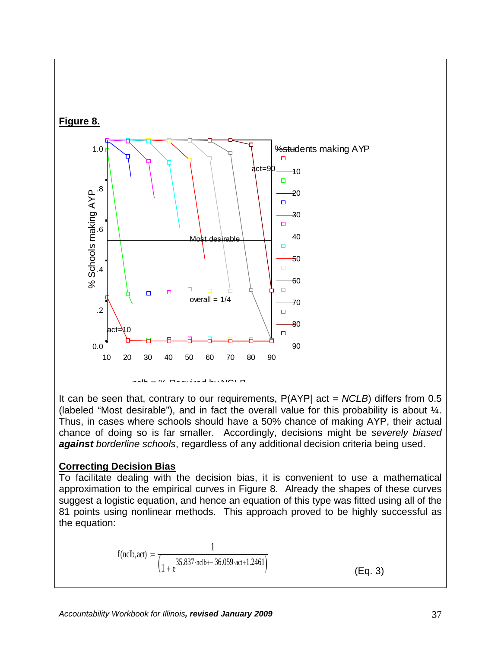

It can be seen that, contrary to our requirements, P(AYP| act = *NCLB*) differs from 0.5 (labeled "Most desirable"), and in fact the overall value for this probability is about ¼. Thus, in cases where schools should have a 50% chance of making AYP, their actual chance of doing so is far smaller. Accordingly, decisions might be *severely biased against borderline schools*, regardless of any additional decision criteria being used.

#### **Correcting Decision Bias**

To facilitate dealing with the decision bias, it is convenient to use a mathematical approximation to the empirical curves in Figure 8. Already the shapes of these curves suggest a logistic equation, and hence an equation of this type was fitted using all of the 81 points using nonlinear methods. This approach proved to be highly successful as the equation:

$$
f(\text{nclb}, \text{act}) := \frac{1}{\left(1 + e^{35.837 \cdot \text{nclb} + 36.059 \cdot \text{act} + 1.2461}\right)}
$$
(Eq. 3)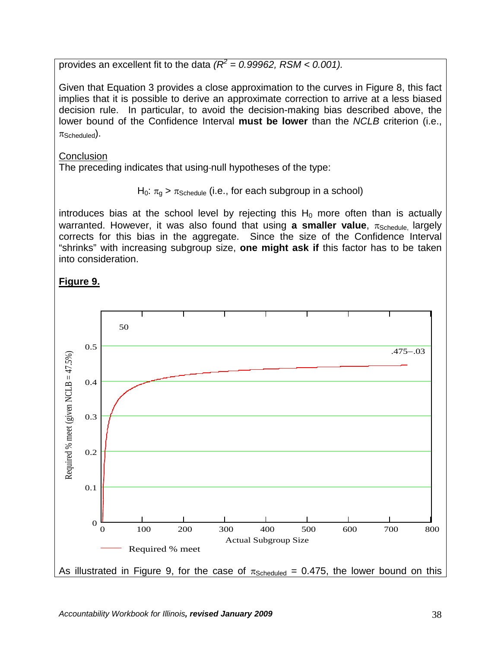provides an excellent fit to the data  $R^2 = 0.99962$ , RSM < 0.001).

Given that Equation 3 provides a close approximation to the curves in Figure 8, this fact implies that it is possible to derive an approximate correction to arrive at a less biased decision rule. In particular, to avoid the decision-making bias described above, the lower bound of the Confidence Interval **must be lower** than the *NCLB* criterion (i.e.,  $\pi$ Scheduled).

**Conclusion** 

The preceding indicates that using-null hypotheses of the type:

 $H_0$ :  $\pi_a$  >  $\pi_{Schedule}$  (i.e., for each subgroup in a school)

introduces bias at the school level by rejecting this  $H_0$  more often than is actually warranted. However, it was also found that using **a smaller value**, π<sub>Schedule</sub> largely corrects for this bias in the aggregate. Since the size of the Confidence Interval "shrinks" with increasing subgroup size, **one might ask if** this factor has to be taken into consideration.

# **Figure 9.**

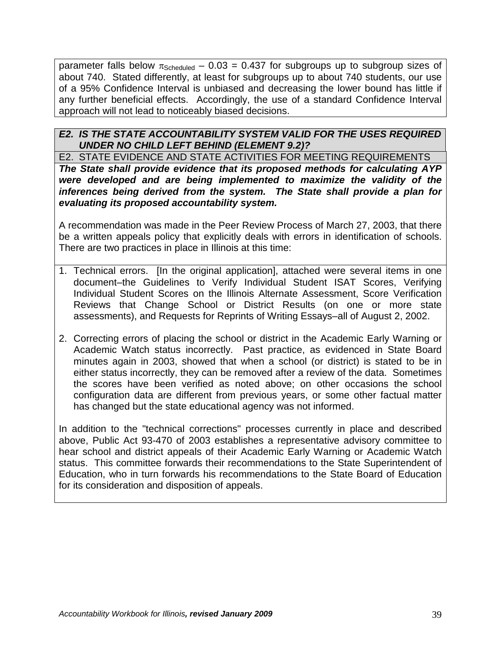parameter falls below  $\pi_{\text{Scheduling}} - 0.03 = 0.437$  for subgroups up to subgroup sizes of about 740. Stated differently, at least for subgroups up to about 740 students, our use of a 95% Confidence Interval is unbiased and decreasing the lower bound has little if any further beneficial effects. Accordingly, the use of a standard Confidence Interval approach will not lead to noticeably biased decisions.

## *E2. IS THE STATE ACCOUNTABILITY SYSTEM VALID FOR THE USES REQUIRED UNDER NO CHILD LEFT BEHIND (ELEMENT 9.2)?*

E2. STATE EVIDENCE AND STATE ACTIVITIES FOR MEETING REQUIREMENTS *The State shall provide evidence that its proposed methods for calculating AYP were developed and are being implemented to maximize the validity of the inferences being derived from the system. The State shall provide a plan for evaluating its proposed accountability system.*

A recommendation was made in the Peer Review Process of March 27, 2003, that there be a written appeals policy that explicitly deals with errors in identification of schools. There are two practices in place in Illinois at this time:

- 1. Technical errors. [In the original application], attached were several items in one document–the Guidelines to Verify Individual Student ISAT Scores, Verifying Individual Student Scores on the Illinois Alternate Assessment, Score Verification Reviews that Change School or District Results (on one or more state assessments), and Requests for Reprints of Writing Essays–all of August 2, 2002.
- 2. Correcting errors of placing the school or district in the Academic Early Warning or Academic Watch status incorrectly. Past practice, as evidenced in State Board minutes again in 2003, showed that when a school (or district) is stated to be in either status incorrectly, they can be removed after a review of the data. Sometimes the scores have been verified as noted above; on other occasions the school configuration data are different from previous years, or some other factual matter has changed but the state educational agency was not informed.

In addition to the "technical corrections" processes currently in place and described above, Public Act 93-470 of 2003 establishes a representative advisory committee to hear school and district appeals of their Academic Early Warning or Academic Watch status. This committee forwards their recommendations to the State Superintendent of Education, who in turn forwards his recommendations to the State Board of Education for its consideration and disposition of appeals.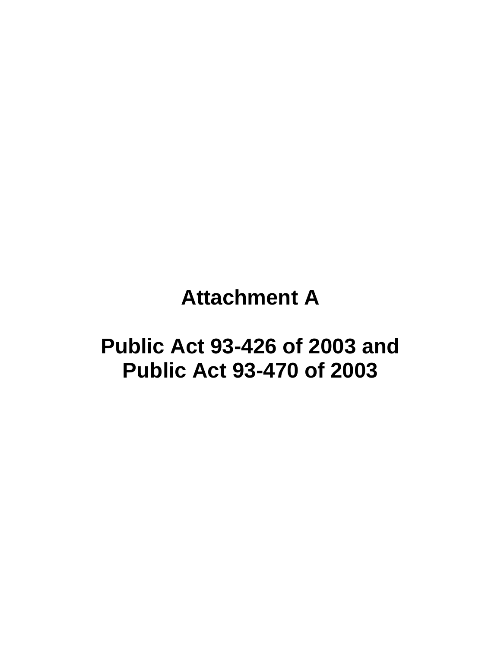# **Attachment A**

# **Public Act 93-426 of 2003 and Public Act 93-470 of 2003**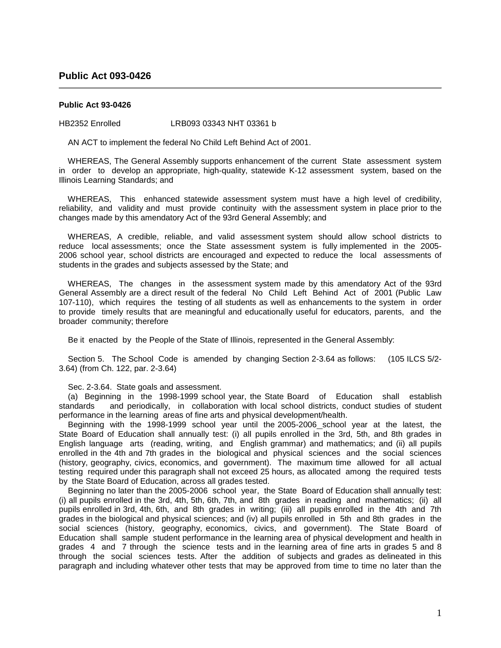#### **Public Act 093-0426**

#### **Public Act 93-0426**

HB2352 Enrolled LRB093 03343 NHT 03361 b

AN ACT to implement the federal No Child Left Behind Act of 2001.

 WHEREAS, The General Assembly supports enhancement of the current State assessment system in order to develop an appropriate, high-quality, statewide K-12 assessment system, based on the Illinois Learning Standards; and

 WHEREAS, This enhanced statewide assessment system must have a high level of credibility, reliability, and validity and must provide continuity with the assessment system in place prior to the changes made by this amendatory Act of the 93rd General Assembly; and

 WHEREAS, A credible, reliable, and valid assessment system should allow school districts to reduce local assessments; once the State assessment system is fully implemented in the 2005- 2006 school year, school districts are encouraged and expected to reduce the local assessments of students in the grades and subjects assessed by the State; and

 WHEREAS, The changes in the assessment system made by this amendatory Act of the 93rd General Assembly are a direct result of the federal No Child Left Behind Act of 2001 (Public Law 107-110), which requires the testing of all students as well as enhancements to the system in order to provide timely results that are meaningful and educationally useful for educators, parents, and the broader community; therefore

Be it enacted by the People of the State of Illinois, represented in the General Assembly:

 Section 5. The School Code is amended by changing Section 2-3.64 as follows: (105 ILCS 5/2- 3.64) (from Ch. 122, par. 2-3.64)

Sec. 2-3.64. State goals and assessment.

 (a) Beginning in the 1998-1999 school year, the State Board of Education shall establish standards and periodically, in collaboration with local school districts, conduct studies of student performance in the learning areas of fine arts and physical development/health.

 Beginning with the 1998-1999 school year until the 2005-2006 school year at the latest, the State Board of Education shall annually test: (i) all pupils enrolled in the 3rd, 5th, and 8th grades in English language arts (reading, writing, and English grammar) and mathematics; and (ii) all pupils enrolled in the 4th and 7th grades in the biological and physical sciences and the social sciences (history, geography, civics, economics, and government). The maximum time allowed for all actual testing required under this paragraph shall not exceed 25 hours, as allocated among the required tests by the State Board of Education, across all grades tested.

 Beginning no later than the 2005-2006 school year, the State Board of Education shall annually test: (i) all pupils enrolled in the 3rd, 4th, 5th, 6th, 7th, and 8th grades in reading and mathematics; (ii) all pupils enrolled in 3rd, 4th, 6th, and 8th grades in writing; (iii) all pupils enrolled in the 4th and 7th grades in the biological and physical sciences; and (iv) all pupils enrolled in 5th and 8th grades in the social sciences (history, geography, economics, civics, and government). The State Board of Education shall sample student performance in the learning area of physical development and health in grades 4 and 7 through the science tests and in the learning area of fine arts in grades 5 and 8 through the social sciences tests. After the addition of subjects and grades as delineated in this paragraph and including whatever other tests that may be approved from time to time no later than the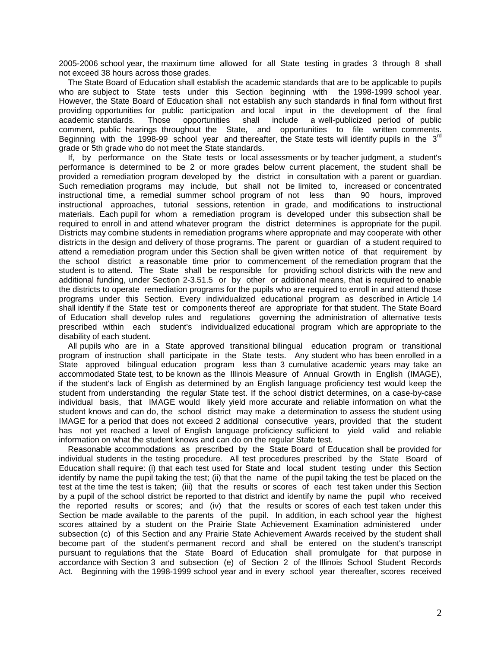2005-2006 school year, the maximum time allowed for all State testing in grades 3 through 8 shall not exceed 38 hours across those grades.

 The State Board of Education shall establish the academic standards that are to be applicable to pupils who are subject to State tests under this Section beginning with the 1998-1999 school year. However, the State Board of Education shall not establish any such standards in final form without first providing opportunities for public participation and local input in the development of the final academic standards. Those opportunities shall include a well-publicized period of public academic standards. Those opportunities shall include a well-publicized period of public comment, public hearings throughout the State, and opportunities to file written comments. Beginning with the 1998-99 school year and thereafter, the State tests will identify pupils in the  $3<sup>r</sup>$ grade or 5th grade who do not meet the State standards.

 If, by performance on the State tests or local assessments or by teacher judgment, a student's performance is determined to be 2 or more grades below current placement, the student shall be provided a remediation program developed by the district in consultation with a parent or guardian. Such remediation programs may include, but shall not be limited to, increased or concentrated instructional time, a remedial summer school program of not less than 90 hours, improved instructional approaches, tutorial sessions, retention in grade, and modifications to instructional materials. Each pupil for whom a remediation program is developed under this subsection shall be required to enroll in and attend whatever program the district determines is appropriate for the pupil. Districts may combine students in remediation programs where appropriate and may cooperate with other districts in the design and delivery of those programs. The parent or guardian of a student required to attend a remediation program under this Section shall be given written notice of that requirement by the school district a reasonable time prior to commencement of the remediation program that the student is to attend. The State shall be responsible for providing school districts with the new and additional funding, under Section 2-3.51.5 or by other or additional means, that is required to enable the districts to operate remediation programs for the pupils who are required to enroll in and attend those programs under this Section. Every individualized educational program as described in Article 14 shall identify if the State test or components thereof are appropriate for that student. The State Board of Education shall develop rules and regulations governing the administration of alternative tests prescribed within each student's individualized educational program which are appropriate to the disability of each student.

 All pupils who are in a State approved transitional bilingual education program or transitional program of instruction shall participate in the State tests. Any student who has been enrolled in a State approved bilingual education program less than 3 cumulative academic years may take an accommodated State test, to be known as the Illinois Measure of Annual Growth in English (IMAGE), if the student's lack of English as determined by an English language proficiency test would keep the student from understanding the regular State test. If the school district determines, on a case-by-case individual basis, that IMAGE would likely yield more accurate and reliable information on what the student knows and can do, the school district may make a determination to assess the student using IMAGE for a period that does not exceed 2 additional consecutive years, provided that the student has not yet reached a level of English language proficiency sufficient to yield valid and reliable information on what the student knows and can do on the regular State test.

 Reasonable accommodations as prescribed by the State Board of Education shall be provided for individual students in the testing procedure. All test procedures prescribed by the State Board of Education shall require: (i) that each test used for State and local student testing under this Section identify by name the pupil taking the test; (ii) that the name of the pupil taking the test be placed on the test at the time the test is taken; (iii) that the results or scores of each test taken under this Section by a pupil of the school district be reported to that district and identify by name the pupil who received the reported results or scores; and (iv) that the results or scores of each test taken under this Section be made available to the parents of the pupil. In addition, in each school year the highest scores attained by a student on the Prairie State Achievement Examination administered under subsection (c) of this Section and any Prairie State Achievement Awards received by the student shall become part of the student's permanent record and shall be entered on the student's transcript pursuant to regulations that the State Board of Education shall promulgate for that purpose in accordance with Section 3 and subsection (e) of Section 2 of the Illinois School Student Records Act. Beginning with the 1998-1999 school year and in every school year thereafter, scores received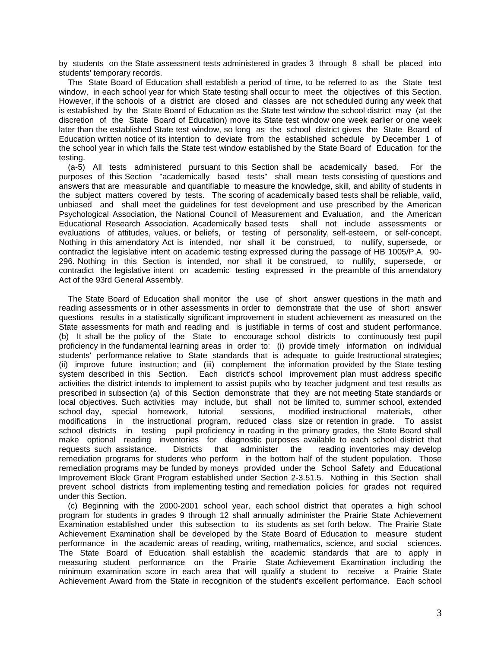by students on the State assessment tests administered in grades 3 through 8 shall be placed into students' temporary records.

 The State Board of Education shall establish a period of time, to be referred to as the State test window, in each school year for which State testing shall occur to meet the objectives of this Section. However, if the schools of a district are closed and classes are not scheduled during any week that is established by the State Board of Education as the State test window the school district may (at the discretion of the State Board of Education) move its State test window one week earlier or one week later than the established State test window, so long as the school district gives the State Board of Education written notice of its intention to deviate from the established schedule by December 1 of the school year in which falls the State test window established by the State Board of Education for the testing.

 (a-5) All tests administered pursuant to this Section shall be academically based. For the purposes of this Section "academically based tests" shall mean tests consisting of questions and answers that are measurable and quantifiable to measure the knowledge, skill, and ability of students in the subject matters covered by tests. The scoring of academically based tests shall be reliable, valid, unbiased and shall meet the guidelines for test development and use prescribed by the American Psychological Association, the National Council of Measurement and Evaluation, and the American Educational Research Association. Academically based tests shall not include assessments or evaluations of attitudes, values, or beliefs, or testing of personality, self-esteem, or self-concept. Nothing in this amendatory Act is intended, nor shall it be construed, to nullify, supersede, or contradict the legislative intent on academic testing expressed during the passage of HB 1005/P.A. 90- 296. Nothing in this Section is intended, nor shall it be construed, to nullify, supersede, or contradict the legislative intent on academic testing expressed in the preamble of this amendatory Act of the 93rd General Assembly.

 The State Board of Education shall monitor the use of short answer questions in the math and reading assessments or in other assessments in order to demonstrate that the use of short answer questions results in a statistically significant improvement in student achievement as measured on the State assessments for math and reading and is justifiable in terms of cost and student performance. (b) It shall be the policy of the State to encourage school districts to continuously test pupil proficiency in the fundamental learning areas in order to: (i) provide timely information on individual students' performance relative to State standards that is adequate to guide Instructional strategies; (ii) improve future instruction; and (iii) complement the information provided by the State testing system described in this Section. Each district's school improvement plan must address specific activities the district intends to implement to assist pupils who by teacher judgment and test results as prescribed in subsection (a) of this Section demonstrate that they are not meeting State standards or local objectives. Such activities may include, but shall not be limited to, summer school, extended school day, special homework, tutorial sessions, modified instructional materials, other modifications in the instructional program, reduced class size or retention in grade. To assist school districts in testing pupil proficiency in reading in the primary grades, the State Board shall make optional reading inventories for diagnostic purposes available to each school district that requests such assistance. Districts that administer the reading inventories may develop remediation programs for students who perform in the bottom half of the student population. Those remediation programs may be funded by moneys provided under the School Safety and Educational Improvement Block Grant Program established under Section 2-3.51.5. Nothing in this Section shall prevent school districts from implementing testing and remediation policies for grades not required under this Section.

 (c) Beginning with the 2000-2001 school year, each school district that operates a high school program for students in grades 9 through 12 shall annually administer the Prairie State Achievement Examination established under this subsection to its students as set forth below. The Prairie State Achievement Examination shall be developed by the State Board of Education to measure student performance in the academic areas of reading, writing, mathematics, science, and social sciences. The State Board of Education shall establish the academic standards that are to apply in measuring student performance on the Prairie State Achievement Examination including the minimum examination score in each area that will qualify a student to receive a Prairie State Achievement Award from the State in recognition of the student's excellent performance. Each school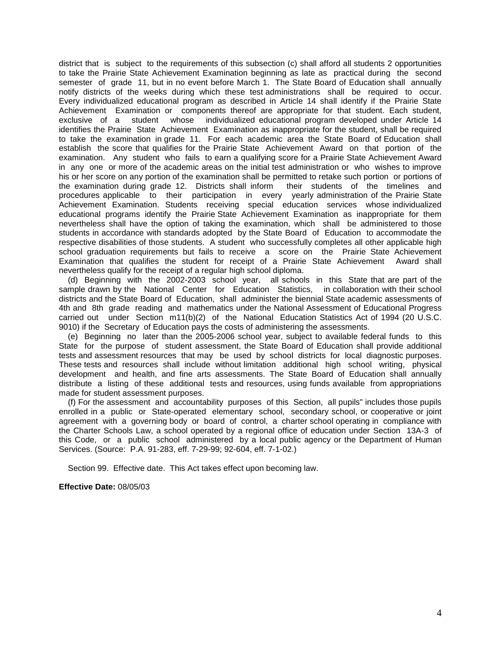district that is subject to the requirements of this subsection (c) shall afford all students 2 opportunities to take the Prairie State Achievement Examination beginning as late as practical during the second semester of grade 11, but in no event before March 1. The State Board of Education shall annually notify districts of the weeks during which these test administrations shall be required to occur. Every individualized educational program as described in Article 14 shall identify if the Prairie State Achievement Examination or components thereof are appropriate for that student. Each student, exclusive of a student whose individualized educational program developed under Article 14 identifies the Prairie State Achievement Examination as inappropriate for the student, shall be required to take the examination in grade 11. For each academic area the State Board of Education shall establish the score that qualifies for the Prairie State Achievement Award on that portion of the examination. Any student who fails to earn a qualifying score for a Prairie State Achievement Award in any one or more of the academic areas on the initial test administration or who wishes to improve his or her score on any portion of the examination shall be permitted to retake such portion or portions of the examination during grade 12. Districts shall inform their students of the timelines and procedures applicable to their participation in every yearly administration of the Prairie State Achievement Examination. Students receiving special education services whose individualized educational programs identify the Prairie State Achievement Examination as inappropriate for them nevertheless shall have the option of taking the examination, which shall be administered to those students in accordance with standards adopted by the State Board of Education to accommodate the respective disabilities of those students. A student who successfully completes all other applicable high school graduation requirements but fails to receive a score on the Prairie State Achievement Examination that qualifies the student for receipt of a Prairie State Achievement Award shall nevertheless qualify for the receipt of a regular high school diploma.

 (d) Beginning with the 2002-2003 school year, all schools in this State that are part of the sample drawn by the National Center for Education Statistics, in collaboration with their school districts and the State Board of Education, shall administer the biennial State academic assessments of 4th and 8th grade reading and mathematics under the National Assessment of Educational Progress carried out under Section m11(b)(2) of the National Education Statistics Act of 1994 (20 U.S.C. 9010) if the Secretary of Education pays the costs of administering the assessments.

 (e) Beginning no later than the 2005-2006 school year, subject to available federal funds to this State for the purpose of student assessment, the State Board of Education shall provide additional tests and assessment resources that may be used by school districts for local diagnostic purposes. These tests and resources shall include without limitation additional high school writing, physical development and health, and fine arts assessments. The State Board of Education shall annually distribute a listing of these additional tests and resources, using funds available from appropriations made for student assessment purposes.

 (f) For the assessment and accountability purposes of this Section, all pupils" includes those pupils enrolled in a public or State-operated elementary school, secondary school, or cooperative or joint agreement with a governing body or board of control, a charter school operating in compliance with the Charter Schools Law, a school operated by a regional office of education under Section 13A-3 of this Code, or a public school administered by a local public agency or the Department of Human Services. (Source: P.A. 91-283, eff. 7-29-99; 92-604, eff. 7-1-02.)

Section 99. Effective date. This Act takes effect upon becoming law.

**Effective Date:** 08/05/03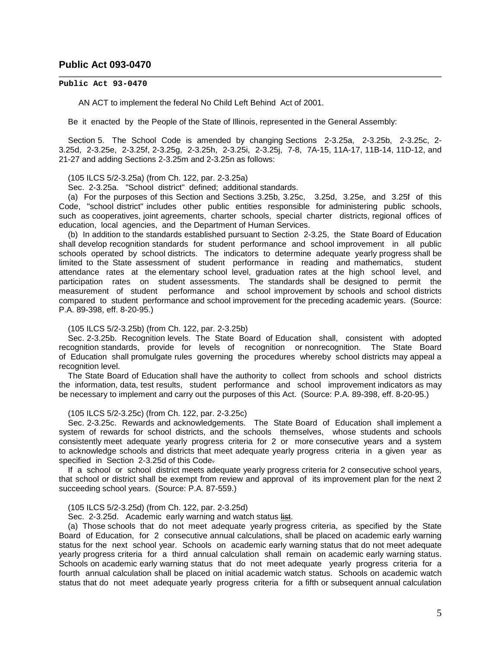#### **Public Act 093-0470**

#### **Public Act 93-0470**

AN ACT to implement the federal No Child Left Behind Act of 2001.

Be it enacted by the People of the State of Illinois, represented in the General Assembly:

 Section 5. The School Code is amended by changing Sections 2-3.25a, 2-3.25b, 2-3.25c, 2- 3.25d, 2-3.25e, 2-3.25f, 2-3.25g, 2-3.25h, 2-3.25i, 2-3.25j, 7-8, 7A-15, 11A-17, 11B-14, 11D-12, and 21-27 and adding Sections 2-3.25m and 2-3.25n as follows:

(105 ILCS 5/2-3.25a) (from Ch. 122, par. 2-3.25a)

Sec. 2-3.25a. "School district" defined; additional standards.

 (a) For the purposes of this Section and Sections 3.25b, 3.25c, 3.25d, 3.25e, and 3.25f of this Code, "school district" includes other public entities responsible for administering public schools, such as cooperatives, joint agreements, charter schools, special charter districts, regional offices of education, local agencies, and the Department of Human Services.

 (b) In addition to the standards established pursuant to Section 2-3.25, the State Board of Education shall develop recognition standards for student performance and school improvement in all public schools operated by school districts. The indicators to determine adequate yearly progress shall be limited to the State assessment of student performance in reading and mathematics, student attendance rates at the elementary school level, graduation rates at the high school level, and participation rates on student assessments. The standards shall be designed to permit the measurement of student performance and school improvement by schools and school districts compared to student performance and school improvement for the preceding academic years. (Source: P.A. 89-398, eff. 8-20-95.)

#### (105 ILCS 5/2-3.25b) (from Ch. 122, par. 2-3.25b)

 Sec. 2-3.25b. Recognition levels. The State Board of Education shall, consistent with adopted recognition standards, provide for levels of recognition or nonrecognition. The State Board of Education shall promulgate rules governing the procedures whereby school districts may appeal a recognition level.

 The State Board of Education shall have the authority to collect from schools and school districts the information, data, test results, student performance and school improvement indicators as may be necessary to implement and carry out the purposes of this Act. (Source: P.A. 89-398, eff. 8-20-95.)

#### (105 ILCS 5/2-3.25c) (from Ch. 122, par. 2-3.25c)

 Sec. 2-3.25c. Rewards and acknowledgements. The State Board of Education shall implement a system of rewards for school districts, and the schools themselves, whose students and schools consistently meet adequate yearly progress criteria for 2 or more consecutive years and a system to acknowledge schools and districts that meet adequate yearly progress criteria in a given year as specified in Section 2-3.25d of this Code.

 If a school or school district meets adequate yearly progress criteria for 2 consecutive school years, that school or district shall be exempt from review and approval of its improvement plan for the next 2 succeeding school years. (Source: P.A. 87-559.)

#### (105 ILCS 5/2-3.25d) (from Ch. 122, par. 2-3.25d)

Sec. 2-3.25d. Academic early warning and watch status list.

 (a) Those schools that do not meet adequate yearly progress criteria, as specified by the State Board of Education, for 2 consecutive annual calculations, shall be placed on academic early warning status for the next school year. Schools on academic early warning status that do not meet adequate yearly progress criteria for a third annual calculation shall remain on academic early warning status. Schools on academic early warning status that do not meet adequate yearly progress criteria for a fourth annual calculation shall be placed on initial academic watch status. Schools on academic watch status that do not meet adequate yearly progress criteria for a fifth or subsequent annual calculation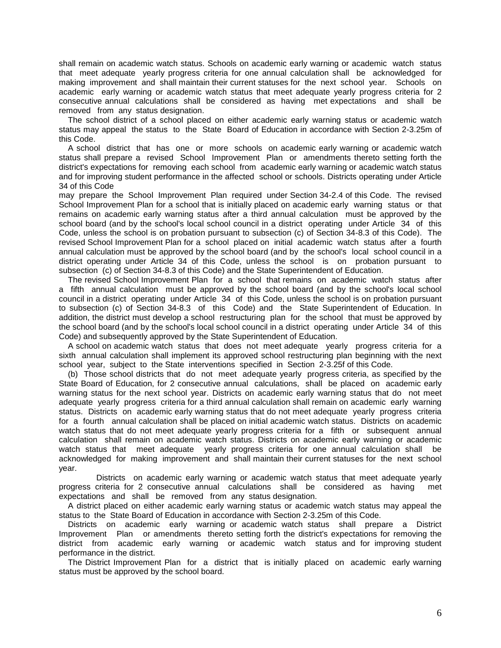shall remain on academic watch status. Schools on academic early warning or academic watch status that meet adequate yearly progress criteria for one annual calculation shall be acknowledged for making improvement and shall maintain their current statuses for the next school year. Schools on academic early warning or academic watch status that meet adequate yearly progress criteria for 2 consecutive annual calculations shall be considered as having met expectations and shall be removed from any status designation.

 The school district of a school placed on either academic early warning status or academic watch status may appeal the status to the State Board of Education in accordance with Section 2-3.25m of this Code.

 A school district that has one or more schools on academic early warning or academic watch status shall prepare a revised School Improvement Plan or amendments thereto setting forth the district's expectations for removing each school from academic early warning or academic watch status and for improving student performance in the affected school or schools. Districts operating under Article 34 of this Code

may prepare the School Improvement Plan required under Section 34-2.4 of this Code. The revised School Improvement Plan for a school that is initially placed on academic early warning status or that remains on academic early warning status after a third annual calculation must be approved by the school board (and by the school's local school council in a district operating under Article 34 of this Code, unless the school is on probation pursuant to subsection (c) of Section 34-8.3 of this Code). The revised School Improvement Plan for a school placed on initial academic watch status after a fourth annual calculation must be approved by the school board (and by the school's local school council in a district operating under Article 34 of this Code, unless the school is on probation pursuant to subsection (c) of Section 34-8.3 of this Code) and the State Superintendent of Education.

 The revised School Improvement Plan for a school that remains on academic watch status after a fifth annual calculation must be approved by the school board (and by the school's local school council in a district operating under Article 34 of this Code, unless the school is on probation pursuant to subsection (c) of Section 34-8.3 of this Code) and the State Superintendent of Education. In addition, the district must develop a school restructuring plan for the school that must be approved by the school board (and by the school's local school council in a district operating under Article 34 of this Code) and subsequently approved by the State Superintendent of Education.

 A school on academic watch status that does not meet adequate yearly progress criteria for a sixth annual calculation shall implement its approved school restructuring plan beginning with the next school year, subject to the State interventions specified in Section 2-3.25f of this Code.

 (b) Those school districts that do not meet adequate yearly progress criteria, as specified by the State Board of Education, for 2 consecutive annual calculations, shall be placed on academic early warning status for the next school year. Districts on academic early warning status that do not meet adequate yearly progress criteria for a third annual calculation shall remain on academic early warning status. Districts on academic early warning status that do not meet adequate yearly progress criteria for a fourth annual calculation shall be placed on initial academic watch status. Districts on academic watch status that do not meet adequate yearly progress criteria for a fifth or subsequent annual calculation shall remain on academic watch status. Districts on academic early warning or academic watch status that meet adequate yearly progress criteria for one annual calculation shall be acknowledged for making improvement and shall maintain their current statuses for the next school year.

Districts on academic early warning or academic watch status that meet adequate yearly progress criteria for 2 consecutive annual calculations shall be considered as having met expectations and shall be removed from any status designation.

 A district placed on either academic early warning status or academic watch status may appeal the status to the State Board of Education in accordance with Section 2-3.25m of this Code.

 Districts on academic early warning or academic watch status shall prepare a District Improvement Plan or amendments thereto setting forth the district's expectations for removing the district from academic early warning or academic watch status and for improving student performance in the district.

 The District Improvement Plan for a district that is initially placed on academic early warning status must be approved by the school board.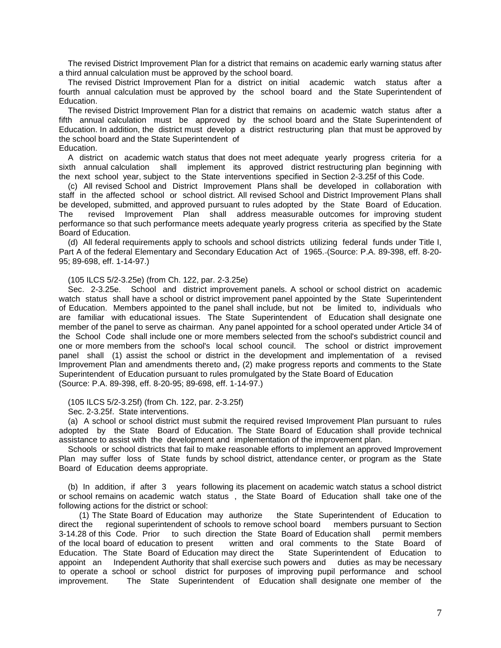The revised District Improvement Plan for a district that remains on academic early warning status after a third annual calculation must be approved by the school board.

 The revised District Improvement Plan for a district on initial academic watch status after a fourth annual calculation must be approved by the school board and the State Superintendent of Education.

 The revised District Improvement Plan for a district that remains on academic watch status after a fifth annual calculation must be approved by the school board and the State Superintendent of Education. In addition, the district must develop a district restructuring plan that must be approved by the school board and the State Superintendent of

#### Education.

 A district on academic watch status that does not meet adequate yearly progress criteria for a sixth annual calculation shall implement its approved district restructuring plan beginning with the next school year, subject to the State interventions specified in Section 2-3.25f of this Code.

 (c) All revised School and District Improvement Plans shall be developed in collaboration with staff in the affected school or school district. All revised School and District Improvement Plans shall be developed, submitted, and approved pursuant to rules adopted by the State Board of Education. The revised Improvement Plan shall address measurable outcomes for improving student performance so that such performance meets adequate yearly progress criteria as specified by the State Board of Education.

 (d) All federal requirements apply to schools and school districts utilizing federal funds under Title I, Part A of the federal Elementary and Secondary Education Act of 1965. (Source: P.A. 89-398, eff. 8-20- 95; 89-698, eff. 1-14-97.)

#### (105 ILCS 5/2-3.25e) (from Ch. 122, par. 2-3.25e)

 Sec. 2-3.25e. School and district improvement panels. A school or school district on academic watch status shall have a school or district improvement panel appointed by the State Superintendent of Education. Members appointed to the panel shall include, but not be limited to, individuals who are familiar with educational issues. The State Superintendent of Education shall designate one member of the panel to serve as chairman. Any panel appointed for a school operated under Article 34 of the School Code shall include one or more members selected from the school's subdistrict council and one or more members from the school's local school council. The school or district improvement panel shall (1) assist the school or district in the development and implementation of a revised Improvement Plan and amendments thereto and, (2) make progress reports and comments to the State Superintendent of Education pursuant to rules promulgated by the State Board of Education (Source: P.A. 89-398, eff. 8-20-95; 89-698, eff. 1-14-97.)

(105 ILCS 5/2-3.25f) (from Ch. 122, par. 2-3.25f)

Sec. 2-3.25f. State interventions.

 (a) A school or school district must submit the required revised Improvement Plan pursuant to rules adopted by the State Board of Education. The State Board of Education shall provide technical assistance to assist with the development and implementation of the improvement plan.

 Schools or school districts that fail to make reasonable efforts to implement an approved Improvement Plan may suffer loss of State funds by school district, attendance center, or program as the State Board of Education deems appropriate.

 (b) In addition, if after 3 years following its placement on academic watch status a school district or school remains on academic watch status , the State Board of Education shall take one of the following actions for the district or school:

 (1) The State Board of Education may authorize the State Superintendent of Education to direct the regional superintendent of schools to remove school board members pursuant to Section 3-14.28 of this Code. Prior to such direction the State Board of Education shall permit members of the local board of education to present viritten and oral comments to the State Board of Education. The State Board of Education may direct the State Superintendent of Education to Education. The State Board of Education may direct the appoint an Independent Authority that shall exercise such powers and duties as may be necessary to operate a school or school district for purposes of improving pupil performance and school improvement. The State Superintendent of Education shall designate one member of the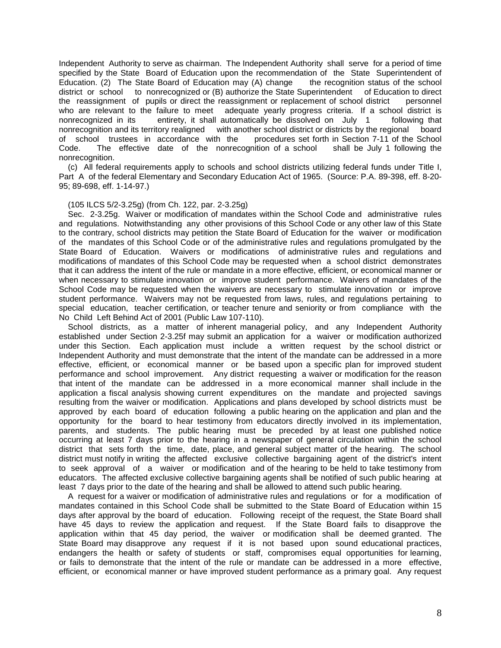Independent Authority to serve as chairman. The Independent Authority shall serve for a period of time specified by the State Board of Education upon the recommendation of the State Superintendent of Education. (2) The State Board of Education may (A) change the recognition status of the school district or school to nonrecognized or (B) authorize the State Superintendent of Education to direct the reassignment of pupils or direct the reassignment or replacement of school district personnel who are relevant to the failure to meet adequate yearly progress criteria. If a school district is nonrecognized in its entirety, it shall automatically be dissolved on July 1 following that nonrecognition and its territory realigned with another school district or districts by the regional board of school trustees in accordance with the procedures set forth in Section 7-11 of the School<br>Code. The effective date of the nonrecognition of a school shall be July 1 following the Code. The effective date of the nonrecognition of a school nonrecognition.

 (c) All federal requirements apply to schools and school districts utilizing federal funds under Title I, Part A of the federal Elementary and Secondary Education Act of 1965. (Source: P.A. 89-398, eff. 8-20- 95; 89-698, eff. 1-14-97.)

#### (105 ILCS 5/2-3.25g) (from Ch. 122, par. 2-3.25g)

 Sec. 2-3.25g. Waiver or modification of mandates within the School Code and administrative rules and regulations. Notwithstanding any other provisions of this School Code or any other law of this State to the contrary, school districts may petition the State Board of Education for the waiver or modification of the mandates of this School Code or of the administrative rules and regulations promulgated by the State Board of Education. Waivers or modifications of administrative rules and regulations and modifications of mandates of this School Code may be requested when a school district demonstrates that it can address the intent of the rule or mandate in a more effective, efficient, or economical manner or when necessary to stimulate innovation or improve student performance. Waivers of mandates of the School Code may be requested when the waivers are necessary to stimulate innovation or improve student performance. Waivers may not be requested from laws, rules, and regulations pertaining to special education, teacher certification, or teacher tenure and seniority or from compliance with the No Child Left Behind Act of 2001 (Public Law 107-110).

 School districts, as a matter of inherent managerial policy, and any Independent Authority established under Section 2-3.25f may submit an application for a waiver or modification authorized under this Section. Each application must include a written request by the school district or Independent Authority and must demonstrate that the intent of the mandate can be addressed in a more effective, efficient, or economical manner or be based upon a specific plan for improved student performance and school improvement. Any district requesting a waiver or modification for the reason that intent of the mandate can be addressed in a more economical manner shall include in the application a fiscal analysis showing current expenditures on the mandate and projected savings resulting from the waiver or modification. Applications and plans developed by school districts must be approved by each board of education following a public hearing on the application and plan and the opportunity for the board to hear testimony from educators directly involved in its implementation, parents, and students. The public hearing must be preceded by at least one published notice occurring at least 7 days prior to the hearing in a newspaper of general circulation within the school district that sets forth the time, date, place, and general subject matter of the hearing. The school district must notify in writing the affected exclusive collective bargaining agent of the district's intent to seek approval of a waiver or modification and of the hearing to be held to take testimony from educators. The affected exclusive collective bargaining agents shall be notified of such public hearing at least 7 days prior to the date of the hearing and shall be allowed to attend such public hearing.

 A request for a waiver or modification of administrative rules and regulations or for a modification of mandates contained in this School Code shall be submitted to the State Board of Education within 15 days after approval by the board of education. Following receipt of the request, the State Board shall have 45 days to review the application and request. If the State Board fails to disapprove the application within that 45 day period, the waiver or modification shall be deemed granted. The State Board may disapprove any request if it is not based upon sound educational practices, endangers the health or safety of students or staff, compromises equal opportunities for learning, or fails to demonstrate that the intent of the rule or mandate can be addressed in a more effective, efficient, or economical manner or have improved student performance as a primary goal. Any request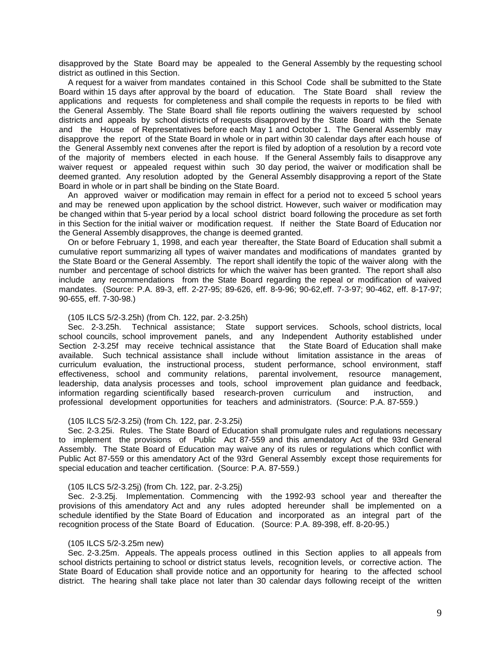disapproved by the State Board may be appealed to the General Assembly by the requesting school district as outlined in this Section.

 A request for a waiver from mandates contained in this School Code shall be submitted to the State Board within 15 days after approval by the board of education. The State Board shall review the applications and requests for completeness and shall compile the requests in reports to be filed with the General Assembly. The State Board shall file reports outlining the waivers requested by school districts and appeals by school districts of requests disapproved by the State Board with the Senate and the House of Representatives before each May 1 and October 1. The General Assembly may disapprove the report of the State Board in whole or in part within 30 calendar days after each house of the General Assembly next convenes after the report is filed by adoption of a resolution by a record vote of the majority of members elected in each house. If the General Assembly fails to disapprove any waiver request or appealed request within such 30 day period, the waiver or modification shall be deemed granted. Any resolution adopted by the General Assembly disapproving a report of the State Board in whole or in part shall be binding on the State Board.

 An approved waiver or modification may remain in effect for a period not to exceed 5 school years and may be renewed upon application by the school district. However, such waiver or modification may be changed within that 5-year period by a local school district board following the procedure as set forth in this Section for the initial waiver or modification request. If neither the State Board of Education nor the General Assembly disapproves, the change is deemed granted.

 On or before February 1, 1998, and each year thereafter, the State Board of Education shall submit a cumulative report summarizing all types of waiver mandates and modifications of mandates granted by the State Board or the General Assembly. The report shall identify the topic of the waiver along with the number and percentage of school districts for which the waiver has been granted. The report shall also include any recommendations from the State Board regarding the repeal or modification of waived mandates. (Source: P.A. 89-3, eff. 2-27-95; 89-626, eff. 8-9-96; 90-62,eff. 7-3-97; 90-462, eff. 8-17-97; 90-655, eff. 7-30-98.)

#### (105 ILCS 5/2-3.25h) (from Ch. 122, par. 2-3.25h)

 Sec. 2-3.25h. Technical assistance; State support services. Schools, school districts, local school councils, school improvement panels, and any Independent Authority established under<br>Section 2-3.25f may receive technical assistance that the State Board of Education shall make Section 2-3.25f may receive technical assistance that available. Such technical assistance shall include without limitation assistance in the areas of curriculum evaluation, the instructional process, student performance, school environment, staff effectiveness, school and community relations, parental involvement, resource management, leadership, data analysis processes and tools, school improvement plan guidance and feedback, information regarding scientifically based research-proven curriculum and instruction, and professional development opportunities for teachers and administrators. (Source: P.A. 87-559.)

#### (105 ILCS 5/2-3.25i) (from Ch. 122, par. 2-3.25i)

Sec. 2-3.25i. Rules. The State Board of Education shall promulgate rules and regulations necessary to implement the provisions of Public Act 87-559 and this amendatory Act of the 93rd General Assembly. The State Board of Education may waive any of its rules or regulations which conflict with Public Act 87-559 or this amendatory Act of the 93rd General Assembly except those requirements for special education and teacher certification. (Source: P.A. 87-559.)

#### (105 ILCS 5/2-3.25j) (from Ch. 122, par. 2-3.25j)

 Sec. 2-3.25j. Implementation. Commencing with the 1992-93 school year and thereafter the provisions of this amendatory Act and any rules adopted hereunder shall be implemented on a schedule identified by the State Board of Education and incorporated as an integral part of the recognition process of the State Board of Education. (Source: P.A. 89-398, eff. 8-20-95.)

#### (105 ILCS 5/2-3.25m new)

 Sec. 2-3.25m. Appeals. The appeals process outlined in this Section applies to all appeals from school districts pertaining to school or district status levels, recognition levels, or corrective action. The State Board of Education shall provide notice and an opportunity for hearing to the affected school district. The hearing shall take place not later than 30 calendar days following receipt of the written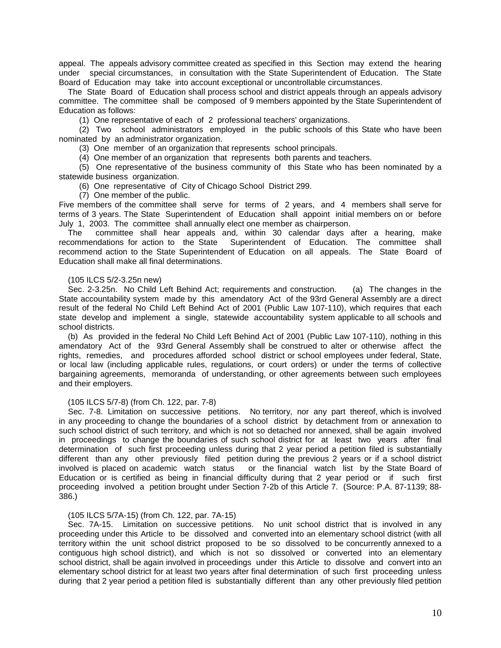appeal. The appeals advisory committee created as specified in this Section may extend the hearing under special circumstances, in consultation with the State Superintendent of Education. The State Board of Education may take into account exceptional or uncontrollable circumstances.

 The State Board of Education shall process school and district appeals through an appeals advisory committee. The committee shall be composed of 9 members appointed by the State Superintendent of Education as follows:

(1) One representative of each of 2 professional teachers' organizations.

 (2) Two school administrators employed in the public schools of this State who have been nominated by an administrator organization.

(3) One member of an organization that represents school principals.

(4) One member of an organization that represents both parents and teachers.

 (5) One representative of the business community of this State who has been nominated by a statewide business organization.

(6) One representative of City of Chicago School District 299.

(7) One member of the public.

Five members of the committee shall serve for terms of 2 years, and 4 members shall serve for terms of 3 years. The State Superintendent of Education shall appoint initial members on or before July 1, 2003. The committee shall annually elect one member as chairperson.

The committee shall hear appeals and, within 30 calendar days after a hearing, make recommendations for action to the State Superintendent of Education. The committee shall Superintendent of Education. The committee shall recommend action to the State Superintendent of Education on all appeals. The State Board of Education shall make all final determinations.

#### (105 ILCS 5/2-3.25n new)

 Sec. 2-3.25n. No Child Left Behind Act; requirements and construction. (a) The changes in the State accountability system made by this amendatory Act of the 93rd General Assembly are a direct result of the federal No Child Left Behind Act of 2001 (Public Law 107-110), which requires that each state develop and implement a single, statewide accountability system applicable to all schools and school districts.

 (b) As provided in the federal No Child Left Behind Act of 2001 (Public Law 107-110), nothing in this amendatory Act of the 93rd General Assembly shall be construed to alter or otherwise affect the rights, remedies, and procedures afforded school district or school employees under federal, State, or local law (including applicable rules, regulations, or court orders) or under the terms of collective bargaining agreements, memoranda of understanding, or other agreements between such employees and their employers.

#### (105 ILCS 5/7-8) (from Ch. 122, par. 7-8)

 Sec. 7-8. Limitation on successive petitions. No territory, nor any part thereof, which is involved in any proceeding to change the boundaries of a school district by detachment from or annexation to such school district of such territory, and which is not so detached nor annexed, shall be again involved in proceedings to change the boundaries of such school district for at least two years after final determination of such first proceeding unless during that 2 year period a petition filed is substantially different than any other previously filed petition during the previous 2 years or if a school district involved is placed on academic watch status or the financial watch list by the State Board of or the financial watch list by the State Board of Education or is certified as being in financial difficulty during that 2 year period or if such first proceeding involved a petition brought under Section 7-2b of this Article 7. (Source: P.A. 87-1139; 88- 386.)

#### (105 ILCS 5/7A-15) (from Ch. 122, par. 7A-15)

 Sec. 7A-15. Limitation on successive petitions. No unit school district that is involved in any proceeding under this Article to be dissolved and converted into an elementary school district (with all territory within the unit school district proposed to be so dissolved to be concurrently annexed to a contiguous high school district), and which is not so dissolved or converted into an elementary school district, shall be again involved in proceedings under this Article to dissolve and convert into an elementary school district for at least two years after final determination of such first proceeding unless during that 2 year period a petition filed is substantially different than any other previously filed petition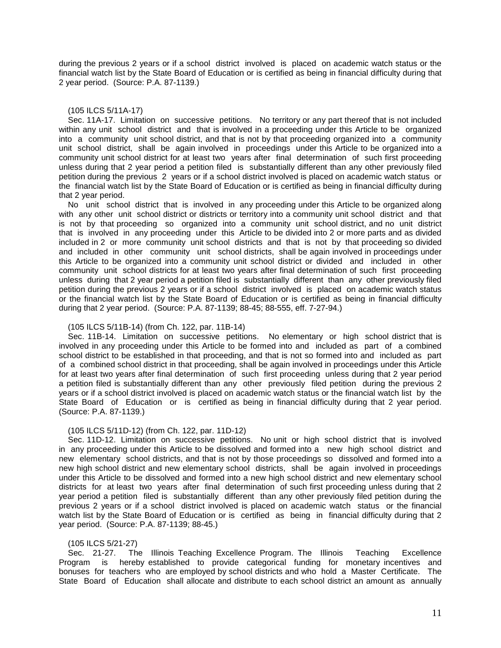during the previous 2 years or if a school district involved is placed on academic watch status or the financial watch list by the State Board of Education or is certified as being in financial difficulty during that 2 year period. (Source: P.A. 87-1139.)

#### (105 ILCS 5/11A-17)

 Sec. 11A-17. Limitation on successive petitions. No territory or any part thereof that is not included within any unit school district and that is involved in a proceeding under this Article to be organized into a community unit school district, and that is not by that proceeding organized into a community unit school district, shall be again involved in proceedings under this Article to be organized into a community unit school district for at least two years after final determination of such first proceeding unless during that 2 year period a petition filed is substantially different than any other previously filed petition during the previous 2 years or if a school district involved is placed on academic watch status or the financial watch list by the State Board of Education or is certified as being in financial difficulty during that 2 year period.

 No unit school district that is involved in any proceeding under this Article to be organized along with any other unit school district or districts or territory into a community unit school district and that is not by that proceeding so organized into a community unit school district, and no unit district that is involved in any proceeding under this Article to be divided into 2 or more parts and as divided included in 2 or more community unit school districts and that is not by that proceeding so divided and included in other community unit school districts, shall be again involved in proceedings under this Article to be organized into a community unit school district or divided and included in other community unit school districts for at least two years after final determination of such first proceeding unless during that 2 year period a petition filed is substantially different than any other previously filed petition during the previous 2 years or if a school district involved is placed on academic watch status or the financial watch list by the State Board of Education or is certified as being in financial difficulty during that 2 year period. (Source: P.A. 87-1139; 88-45; 88-555, eff. 7-27-94.)

#### (105 ILCS 5/11B-14) (from Ch. 122, par. 11B-14)

 Sec. 11B-14. Limitation on successive petitions. No elementary or high school district that is involved in any proceeding under this Article to be formed into and included as part of a combined school district to be established in that proceeding, and that is not so formed into and included as part of a combined school district in that proceeding, shall be again involved in proceedings under this Article for at least two years after final determination of such first proceeding unless during that 2 year period a petition filed is substantially different than any other previously filed petition during the previous 2 years or if a school district involved is placed on academic watch status or the financial watch list by the State Board of Education or is certified as being in financial difficulty during that 2 year period. (Source: P.A. 87-1139.)

#### (105 ILCS 5/11D-12) (from Ch. 122, par. 11D-12)

 Sec. 11D-12. Limitation on successive petitions. No unit or high school district that is involved in any proceeding under this Article to be dissolved and formed into a new high school district and new elementary school districts, and that is not by those proceedings so dissolved and formed into a new high school district and new elementary school districts, shall be again involved in proceedings under this Article to be dissolved and formed into a new high school district and new elementary school districts for at least two years after final determination of such first proceeding unless during that 2 year period a petition filed is substantially different than any other previously filed petition during the previous 2 years or if a school district involved is placed on academic watch status or the financial watch list by the State Board of Education or is certified as being in financial difficulty during that 2 year period. (Source: P.A. 87-1139; 88-45.)

#### (105 ILCS 5/21-27)

 Sec. 21-27. The Illinois Teaching Excellence Program. The Illinois Teaching Excellence Program is hereby established to provide categorical funding for monetary incentives and bonuses for teachers who are employed by school districts and who hold a Master Certificate. The State Board of Education shall allocate and distribute to each school district an amount as annually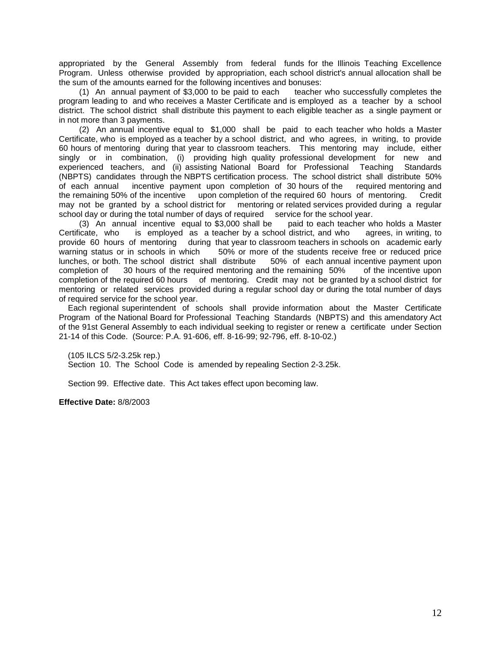appropriated by the General Assembly from federal funds for the Illinois Teaching Excellence Program. Unless otherwise provided by appropriation, each school district's annual allocation shall be the sum of the amounts earned for the following incentives and bonuses:<br>(1) An annual payment of \$3,000 to be paid to each teacher who successfully completes the

(1) An annual payment of  $$3,000$  to be paid to each program leading to and who receives a Master Certificate and is employed as a teacher by a school district. The school district shall distribute this payment to each eligible teacher as a single payment or in not more than 3 payments.

 (2) An annual incentive equal to \$1,000 shall be paid to each teacher who holds a Master Certificate, who is employed as a teacher by a school district, and who agrees, in writing, to provide 60 hours of mentoring during that year to classroom teachers. This mentoring may include, either singly or in combination, (i) providing high quality professional development for new and experienced teachers, and (ii) assisting National Board for Professional Teaching Standards (NBPTS) candidates through the NBPTS certification process. The school district shall distribute 50% of each annual incentive payment upon completion of 30 hours of the required mentoring and the remaining 50% of the incentive upon completion of the required 60 hours of mentoring. Credit may not be granted by a school district for mentoring or related services provided during a regular school day or during the total number of days of required service for the school year.

 (3) An annual incentive equal to \$3,000 shall be paid to each teacher who holds a Master Certificate, who is employed as a teacher by a school district, and who agrees, in writing, to provide 60 hours of mentoring during that year to classroom teachers in schools on academic early<br>warning status or in schools in which 50% or more of the students receive free or reduced price 50% or more of the students receive free or reduced price<br>I distribute 50% of each annual incentive payment upon lunches, or both. The school district shall distribute completion of 30 hours of the required mentoring and the remaining 50% of the incentive upon completion of the required 60 hours of mentoring. Credit may not be granted by a school district for mentoring or related services provided during a regular school day or during the total number of days of required service for the school year.

 Each regional superintendent of schools shall provide information about the Master Certificate Program of the National Board for Professional Teaching Standards (NBPTS) and this amendatory Act of the 91st General Assembly to each individual seeking to register or renew a certificate under Section 21-14 of this Code. (Source: P.A. 91-606, eff. 8-16-99; 92-796, eff. 8-10-02.)

(105 ILCS 5/2-3.25k rep.)

Section 10. The School Code is amended by repealing Section 2-3.25k.

Section 99. Effective date. This Act takes effect upon becoming law.

**Effective Date:** 8/8/2003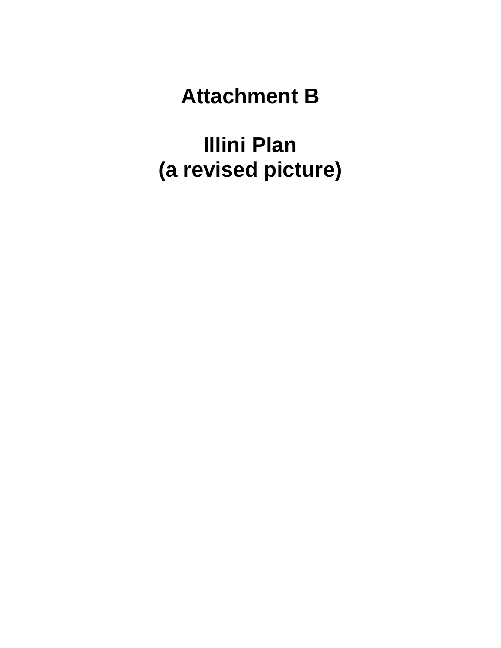# **Attachment B**

**Illini Plan (a revised picture)**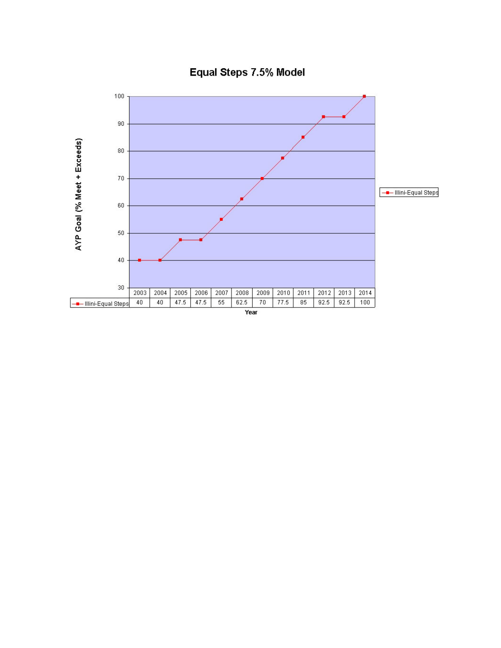

Equal Steps 7.5% Model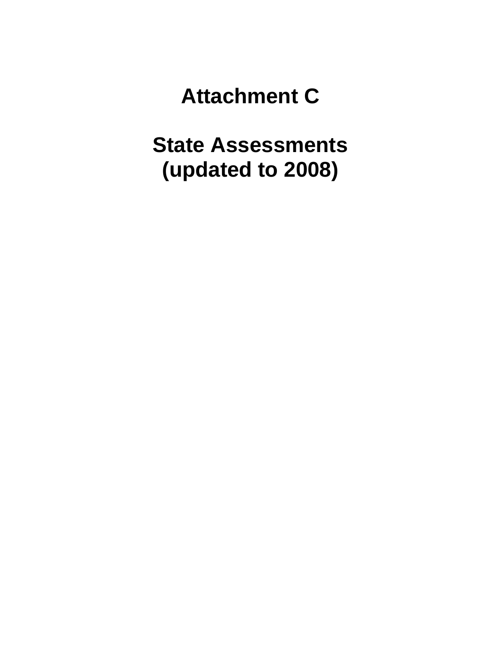# **Attachment C**

# **State Assessments (updated to 2008)**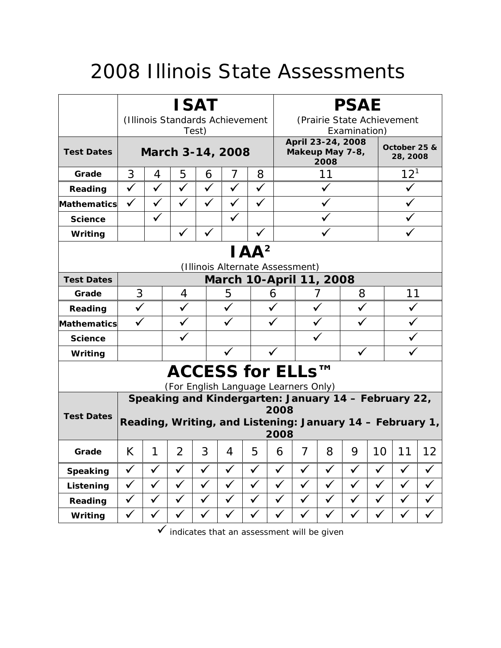# 2008 Illinois State Assessments

|                                 | <b>ISAT</b>                              |              |                                                          |              |              |                                |              | <b>PSAE</b>                                  |              |              |              |                                                           |              |  |
|---------------------------------|------------------------------------------|--------------|----------------------------------------------------------|--------------|--------------|--------------------------------|--------------|----------------------------------------------|--------------|--------------|--------------|-----------------------------------------------------------|--------------|--|
|                                 | (Illinois Standards Achievement<br>Test) |              |                                                          |              |              |                                |              | (Prairie State Achievement<br>Examination)   |              |              |              |                                                           |              |  |
| <b>Test Dates</b>               | March 3-14, 2008                         |              |                                                          |              |              |                                |              | April 23-24, 2008<br>Makeup May 7-8,<br>2008 |              |              |              | October 25 &<br>28, 2008                                  |              |  |
| Grade                           | 3<br>$\overline{7}$<br>8<br>4<br>5<br>6  |              |                                                          |              |              |                                |              |                                              | 11           |              |              | $12^{1}$                                                  |              |  |
| Reading                         | $\checkmark$                             | $\checkmark$ | $\checkmark$                                             | $\checkmark$ | $\checkmark$ | $\checkmark$                   |              |                                              | $\checkmark$ |              |              |                                                           |              |  |
| Mathematics                     | $\checkmark$                             | $\checkmark$ | ✓                                                        | $\checkmark$ | ✓            | $\checkmark$                   |              |                                              |              |              |              |                                                           |              |  |
| <b>Science</b>                  |                                          | $\checkmark$ |                                                          |              |              |                                |              |                                              |              |              |              |                                                           |              |  |
| Writing                         |                                          |              | $\checkmark$                                             |              |              |                                |              |                                              |              |              |              |                                                           |              |  |
| IAA <sup>2</sup>                |                                          |              |                                                          |              |              |                                |              |                                              |              |              |              |                                                           |              |  |
| (Illinois Alternate Assessment) |                                          |              |                                                          |              |              |                                |              |                                              |              |              |              |                                                           |              |  |
| <b>Test Dates</b>               |                                          |              |                                                          |              |              | <b>March 10-April 11, 2008</b> |              |                                              |              |              |              |                                                           |              |  |
| Grade                           | 3                                        |              | 4                                                        |              | 5            |                                | 6            |                                              |              | 8            |              | 11                                                        |              |  |
| Reading                         | $\checkmark$                             |              | $\checkmark$                                             |              |              |                                |              |                                              |              |              |              |                                                           |              |  |
| <b>Mathematics</b>              |                                          |              |                                                          |              |              |                                |              |                                              |              |              |              |                                                           |              |  |
| <b>Science</b>                  |                                          |              |                                                          |              |              |                                |              |                                              |              |              |              |                                                           |              |  |
| Writing                         |                                          |              |                                                          |              |              |                                |              |                                              |              |              |              |                                                           |              |  |
|                                 |                                          |              | ACCESS for ELLs™<br>(For English Language Learners Only) |              |              |                                |              |                                              |              |              |              |                                                           |              |  |
|                                 |                                          |              |                                                          |              |              |                                |              |                                              |              |              |              | Speaking and Kindergarten: January 14 - February 22,      |              |  |
| <b>Test Dates</b>               |                                          |              |                                                          |              |              |                                | 2008         |                                              |              |              |              |                                                           |              |  |
|                                 |                                          |              |                                                          |              |              |                                | 2008         |                                              |              |              |              | Reading, Writing, and Listening: January 14 - February 1, |              |  |
| Grade                           | К                                        | 1            | 2                                                        | 3            | 4            | 5                              | 6            | 7                                            | 8            | 9            | 10           | 11                                                        | 12           |  |
| <b>Speaking</b>                 | $\checkmark$                             | ✓            | $\checkmark$                                             | $\checkmark$ | $\checkmark$ | $\checkmark$                   | $\checkmark$ | $\checkmark$                                 | ✓            | $\checkmark$ | $\checkmark$ | ✓                                                         |              |  |
| Listening                       | $\checkmark$                             | $\checkmark$ | $\checkmark$                                             | $\checkmark$ | $\checkmark$ | $\checkmark$                   | $\checkmark$ | $\checkmark$                                 | $\checkmark$ | $\checkmark$ | $\checkmark$ | $\checkmark$                                              | ✓            |  |
| Reading                         | $\checkmark$                             | $\checkmark$ | $\checkmark$                                             | $\checkmark$ | $\checkmark$ | $\checkmark$                   | $\checkmark$ | $\checkmark$                                 | $\checkmark$ | $\checkmark$ | $\checkmark$ | $\checkmark$                                              | $\checkmark$ |  |
| Writing                         | $\checkmark$                             | ✓            | $\checkmark$                                             | $\checkmark$ | $\checkmark$ | $\checkmark$                   | $\checkmark$ | $\checkmark$                                 | $\checkmark$ | ✓            | $\checkmark$ | $\checkmark$                                              | $\checkmark$ |  |

 $\overline{\smash{\bigl(\right.$  indicates that an assessment will be given